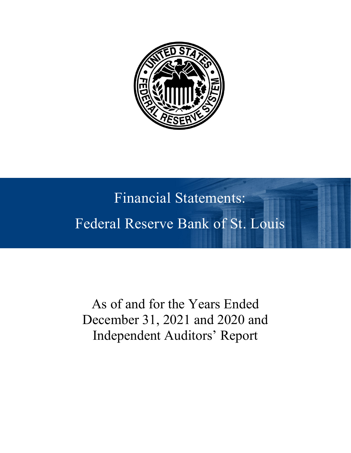

# Financial Statements: Federal Reserve Bank of St. Louis

As of and for the Years Ended December 31, 2021 and 2020 and Independent Auditors' Report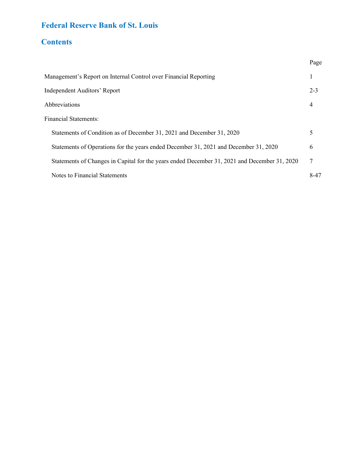### **Federal Reserve Bank of St. Louis**

### **Contents**

|                                                                                              | Page    |
|----------------------------------------------------------------------------------------------|---------|
| Management's Report on Internal Control over Financial Reporting                             |         |
| Independent Auditors' Report                                                                 | $2 - 3$ |
| Abbreviations                                                                                | 4       |
| <b>Financial Statements:</b>                                                                 |         |
| Statements of Condition as of December 31, 2021 and December 31, 2020                        | 5       |
| Statements of Operations for the years ended December 31, 2021 and December 31, 2020         | 6       |
| Statements of Changes in Capital for the years ended December 31, 2021 and December 31, 2020 |         |
| Notes to Financial Statements                                                                | 8-47    |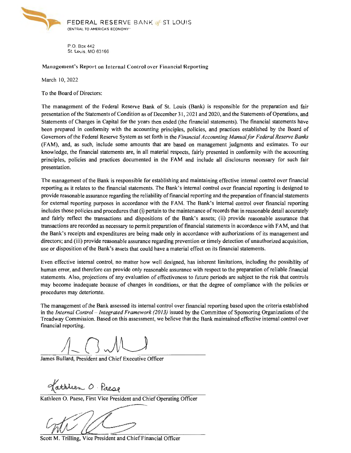

P.O. Box 442 St. Louis, MO 63166

Management's Report on Internal Control over Financial Reporting

March 10, 2022

To the Board of Directors:

The management of the Federal Reserve Bank of St. Louis (Bank) is responsible for the preparation and fair presentation of the Statements of Condition as of December 31 , 2021 and 2020, and the Statements of Operations, and Statements of Changes in Capital for the years then ended (the financial statements). The financial statements have been prepared in conformity with the accounting principles, policies, and practices established by the Board of Governors of the Federal Reserve System as set forth in the *Financial Accounting Manual for Federal Reserve Banks*  (FAM), and, as such, include some amounts that are based on management judgments and estimates. To our knowledge, the financial statements are, in all material respects, fairly presented in conformity with the accounting principles, policies and practices documented in the FAM and include all disclosures necessary for such fair presentation.

The management of the Bank is responsible for establishing and maintaining effective internal control over financial reporting as it relates to the financial statements. The Bank's internal control over financial reporting is designed to provide reasonable assurance regarding the reliability of financial reporting and the preparation of financial statements for external reporting purposes in accordance with the FAM. The Bank's internal control over financial reporting includes those policies and procedures that (i) pertain to the maintenance ofrecords that in reasonable detail accurately and fairly reflect the transactions and dispositions of the Bank's assets; (ii) provide reasonable assurance that transactions are recorded as necessary to permit preparation of financial statements in accordance with FAM, and that the Bank's receipts and expenditures are being made only in accordance with authorizations of its management and directors; and (iii) provide reasonable assurance regarding prevention or timely detection of unauthorized acquisition, use or disposition of the Bank's assets that could have a material effect on its financial statements.

Even effective internal control, no matter how well designed, has inherent limitations, including the possibility of human error, and therefore can provide only reasonable assurance with respect to the preparation of reliable financial statements. Also, projections of any evaluation of effectiveness to future periods are subject to the risk that controls may become inadequate because of changes in conditions, or that the degree of compliance with the policies or procedures may deteriorate.

The management of the Bank assessed its internal control over financial reporting based upon the criteria established in the *Internal Control* - *Integrated Framework (2013)* issued by the Committee of Sponsoring Organizations of the Treadway Commission. Based on this assessment, we believe that the Bank maintained effective internal control over financial reporting.

James Bullard, President and Chief Executive Officer

athier O Paese

Kathleen 0. Paese, First Vice President and Chief Operating Officer

~~

Scott M. Trilling, Vice President and Chief Financial Officer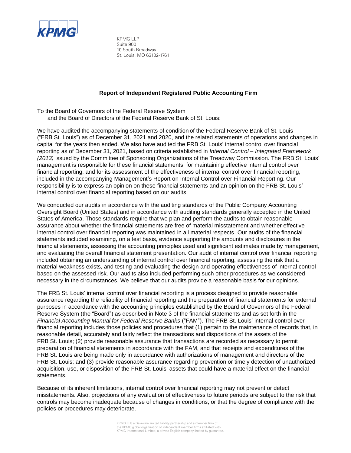

KPMG LLP Suite 900 10 South Broadway St. Louis, MO 63102-1761

#### **Report of Independent Registered Public Accounting Firm**

 To the Board of Governors of the Federal Reserve System and the Board of Directors of the Federal Reserve Bank of St. Louis:

 management is responsible for these financial statements, for maintaining effective internal control over internal control over financial reporting based on our audits. We have audited the accompanying statements of condition of the Federal Reserve Bank of St. Louis ("FRB St. Louis") as of December 31, 2021 and 2020, and the related statements of operations and changes in capital for the years then ended. We also have audited the FRB St. Louis' internal control over financial reporting as of December 31, 2021, based on criteria established in *Internal Control – Integrated Framework (2013)* issued by the Committee of Sponsoring Organizations of the Treadway Commission. The FRB St. Louis' financial reporting, and for its assessment of the effectiveness of internal control over financial reporting, included in the accompanying Management's Report on Internal Control over Financial Reporting. Our responsibility is to express an opinion on these financial statements and an opinion on the FRB St. Louis'

 We conducted our audits in accordance with the auditing standards of the Public Company Accounting statements included examining, on a test basis, evidence supporting the amounts and disclosures in the financial statements, assessing the accounting principles used and significant estimates made by management, and evaluating the overall financial statement presentation. Our audit of internal control over financial reporting material weakness exists, and testing and evaluating the design and operating effectiveness of internal control Oversight Board (United States) and in accordance with auditing standards generally accepted in the United States of America. Those standards require that we plan and perform the audits to obtain reasonable assurance about whether the financial statements are free of material misstatement and whether effective internal control over financial reporting was maintained in all material respects. Our audits of the financial included obtaining an understanding of internal control over financial reporting, assessing the risk that a based on the assessed risk. Our audits also included performing such other procedures as we considered necessary in the circumstances. We believe that our audits provide a reasonable basis for our opinions.

 The FRB St. Louis' internal control over financial reporting is a process designed to provide reasonable assurance regarding the reliability of financial reporting and the preparation of financial statements for external purposes in accordance with the accounting principles established by the Board of Governors of the Federal financial reporting includes those policies and procedures that (1) pertain to the maintenance of records that, in preparation of financial statements in accordance with the FAM, and that receipts and expenditures of the FRB St. Louis are being made only in accordance with authorizations of management and directors of the Reserve System (the "Board") as described in Note 3 of the financial statements and as set forth in the *Financial Accounting Manual for Federal Reserve Banks* ("FAM"). The FRB St. Louis' internal control over reasonable detail, accurately and fairly reflect the transactions and dispositions of the assets of the FRB St. Louis; (2) provide reasonable assurance that transactions are recorded as necessary to permit FRB St. Louis; and (3) provide reasonable assurance regarding prevention or timely detection of unauthorized acquisition, use, or disposition of the FRB St. Louis' assets that could have a material effect on the financial statements.

 Because of its inherent limitations, internal control over financial reporting may not prevent or detect misstatements. Also, projections of any evaluation of effectiveness to future periods are subject to the risk that controls may become inadequate because of changes in conditions, or that the degree of compliance with the policies or procedures may deteriorate.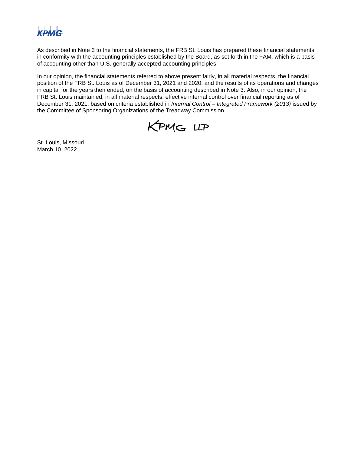

 of accounting other than U.S. generally accepted accounting principles. As described in Note 3 to the financial statements, the FRB St. Louis has prepared these financial statements in conformity with the accounting principles established by the Board, as set forth in the FAM, which is a basis

 In our opinion, the financial statements referred to above present fairly, in all material respects, the financial in capital for the years then ended, on the basis of accounting described in Note 3. Also, in our opinion, the FRB St. Louis maintained, in all material respects, effective internal control over financial reporting as of position of the FRB St. Louis as of December 31, 2021 and 2020, and the results of its operations and changes December 31, 2021, based on criteria established in *Internal Control – Integrated Framework (2013)* issued by the Committee of Sponsoring Organizations of the Treadway Commission.



St. Louis, Missouri March 10, 2022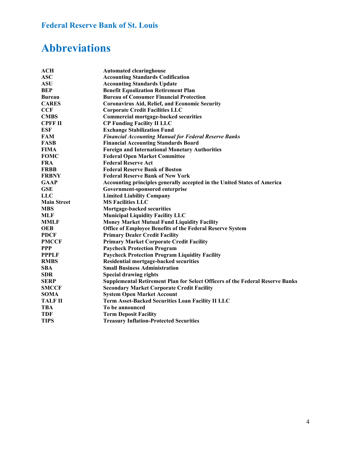# **Federal Reserve Bank of St. Louis Abbreviations**

| ACH                | <b>Automated clearinghouse</b>                                                       |
|--------------------|--------------------------------------------------------------------------------------|
| <b>ASC</b>         | <b>Accounting Standards Codification</b>                                             |
| <b>ASU</b>         | <b>Accounting Standards Update</b>                                                   |
| <b>BEP</b>         | <b>Benefit Equalization Retirement Plan</b>                                          |
| <b>Bureau</b>      | <b>Bureau of Consumer Financial Protection</b>                                       |
| <b>CARES</b>       | <b>Coronavirus Aid, Relief, and Economic Security</b>                                |
| <b>CCF</b>         | <b>Corporate Credit Facilities LLC</b>                                               |
| <b>CMBS</b>        | <b>Commercial mortgage-backed securities</b>                                         |
| <b>CPFF II</b>     | <b>CP Funding Facility II LLC</b>                                                    |
| ESF                | <b>Exchange Stabilization Fund</b>                                                   |
| <b>FAM</b>         | <b>Financial Accounting Manual for Federal Reserve Banks</b>                         |
| <b>FASB</b>        | <b>Financial Accounting Standards Board</b>                                          |
| <b>FIMA</b>        | <b>Foreign and International Monetary Authorities</b>                                |
| <b>FOMC</b>        | <b>Federal Open Market Committee</b>                                                 |
| <b>FRA</b>         | <b>Federal Reserve Act</b>                                                           |
| <b>FRBB</b>        | <b>Federal Reserve Bank of Boston</b>                                                |
| <b>FRBNY</b>       | <b>Federal Reserve Bank of New York</b>                                              |
| <b>GAAP</b>        | Accounting principles generally accepted in the United States of America             |
| <b>GSE</b>         | Government-sponsored enterprise                                                      |
| LLC                | <b>Limited Liability Company</b>                                                     |
| <b>Main Street</b> | <b>MS Facilities LLC</b>                                                             |
| <b>MBS</b>         | Mortgage-backed securities                                                           |
| MLF                | <b>Municipal Liquidity Facility LLC</b>                                              |
| <b>MMLF</b>        | <b>Money Market Mutual Fund Liquidity Facility</b>                                   |
| <b>OEB</b>         | Office of Employee Benefits of the Federal Reserve System                            |
| <b>PDCF</b>        | <b>Primary Dealer Credit Facility</b>                                                |
| <b>PMCCF</b>       | <b>Primary Market Corporate Credit Facility</b>                                      |
| <b>PPP</b>         | <b>Paycheck Protection Program</b>                                                   |
| <b>PPPLF</b>       | <b>Paycheck Protection Program Liquidity Facility</b>                                |
| <b>RMBS</b>        | <b>Residential mortgage-backed securities</b>                                        |
| <b>SBA</b>         | <b>Small Business Administration</b>                                                 |
| <b>SDR</b>         | <b>Special drawing rights</b>                                                        |
| <b>SERP</b>        | <b>Supplemental Retirement Plan for Select Officers of the Federal Reserve Banks</b> |
| <b>SMCCF</b>       | <b>Secondary Market Corporate Credit Facility</b>                                    |
| <b>SOMA</b>        | <b>System Open Market Account</b>                                                    |
| <b>TALF II</b>     | Term Asset-Backed Securities Loan Facility II LLC                                    |
| <b>TBA</b>         | To be announced                                                                      |
| <b>TDF</b>         | <b>Term Deposit Facility</b>                                                         |
| <b>TIPS</b>        | <b>Treasury Inflation-Protected Securities</b>                                       |
|                    |                                                                                      |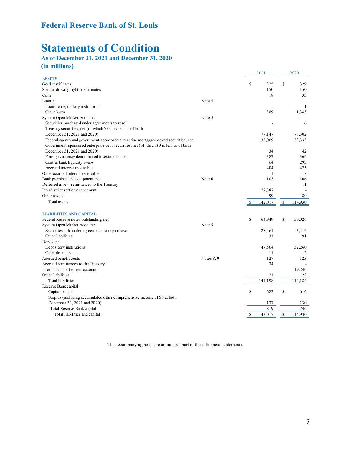### **Statements of Condition**

### **As of December 31, 2021 and December 31, 2020 (in millions)**

|                                                                                       |              |               | 2021    | 2020          |
|---------------------------------------------------------------------------------------|--------------|---------------|---------|---------------|
| <b>ASSETS</b>                                                                         |              |               |         |               |
| Gold certificates                                                                     |              | S             | 325     | \$<br>329     |
| Special drawing rights certificates                                                   |              |               | 150     | 150           |
| Coin                                                                                  |              |               | 18      | 33            |
| Loans:                                                                                | Note 4       |               |         |               |
| Loans to depository institutions                                                      |              |               |         | 1             |
| Other loans                                                                           |              |               | 389     | 1,383         |
| System Open Market Account:                                                           | Note 5       |               |         |               |
| Securities purchased under agreements to resell                                       |              |               |         | 16            |
| Treasury securities, net (of which \$531 is lent as of both                           |              |               |         |               |
| December 31, 2021 and 2020)                                                           |              |               | 77,147  | 78,302        |
| Federal agency and government-sponsored enterprise mortgage-backed securities, net    |              |               | 35,009  | 33,333        |
| Government-sponsored enterprise debt securities, net (of which \$0 is lent as of both |              |               |         |               |
| December 31, 2021 and 2020)                                                           |              |               | 34      | 42            |
| Foreign currency denominated investments, net                                         |              |               | 387     | 364           |
| Central bank liquidity swaps                                                          |              |               | 64      | 293           |
| Accrued interest receivable                                                           |              |               | 404     | 475           |
| Other accrued interest receivable                                                     |              |               | 1       | 3             |
| Bank premises and equipment, net                                                      | Note 6       |               | 103     | 106           |
| Deferred asset - remittances to the Treasury                                          |              |               |         | 11            |
| Interdistrict settlement account                                                      |              |               | 27,887  |               |
| Other assets                                                                          |              |               | 99      | 89            |
| Total assets                                                                          |              | <sup>\$</sup> | 142,017 | \$<br>114,930 |
| <b>LIABILITIES AND CAPITAL</b>                                                        |              |               |         |               |
| Federal Reserve notes outstanding, net                                                |              | \$            | 64,949  | \$<br>59,026  |
| System Open Market Account:                                                           | Note 5       |               |         |               |
| Securities sold under agreements to repurchase                                        |              |               | 28,461  | 3,414         |
| Other liabilities                                                                     |              |               | 31      | 91            |
| Deposits:                                                                             |              |               |         |               |
| Depository institutions                                                               |              |               | 47,564  | 32,260        |
| Other deposits                                                                        |              |               | 11      | 2             |
| Accrued benefit costs                                                                 | Notes $8, 9$ |               | 127     | 123           |
| Accrued remittances to the Treasury                                                   |              |               | 34      |               |
| Interdistrict settlement account                                                      |              |               |         | 19,246        |
| Other liabilities                                                                     |              |               | 21      | 22            |
| Total liabilities                                                                     |              |               | 141,198 | 114,184       |
| Reserve Bank capital                                                                  |              |               |         |               |
| Capital paid-in                                                                       |              | S             | 682     | \$<br>616     |
| Surplus (including accumulated other comprehensive income of \$6 at both              |              |               |         |               |
| December 31, 2021 and 2020)                                                           |              |               | 137     | 130           |
| Total Reserve Bank capital                                                            |              |               | 819     | 746           |
| Total liabilities and capital                                                         |              | $\mathbb{S}$  | 142,017 | \$<br>114,930 |

The accompanying notes are an integral part of these financial statements.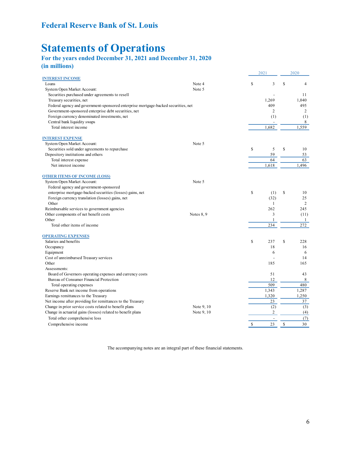# **Statements of Operations** For the years ended December 31, 2021 and December 31, 2020

### **(in millions)**

|                                                                                    |            | 2021 |                | 2020 |                |  |
|------------------------------------------------------------------------------------|------------|------|----------------|------|----------------|--|
| <b>INTEREST INCOME</b>                                                             |            |      |                |      |                |  |
| Loans                                                                              | Note 4     | \$   | 3              | \$   | 4              |  |
| System Open Market Account:                                                        | Note 5     |      |                |      |                |  |
| Securities purchased under agreements to resell                                    |            |      |                |      | 11             |  |
| Treasury securities, net                                                           |            |      | 1,269          |      | 1,040          |  |
| Federal agency and government-sponsored enterprise mortgage-backed securities, net |            |      | 409            |      | 495            |  |
| Government-sponsored enterprise debt securities, net                               |            |      | $\overline{2}$ |      | $\mathfrak{2}$ |  |
| Foreign currency denominated investments, net                                      |            |      | (1)            |      | (1)            |  |
| Central bank liquidity swaps                                                       |            |      |                |      | 8              |  |
| Total interest income                                                              |            |      | 1,682          |      | 1,559          |  |
| <b>INTEREST EXPENSE</b>                                                            |            |      |                |      |                |  |
| System Open Market Account:                                                        | Note 5     |      |                |      |                |  |
| Securities sold under agreements to repurchase                                     |            | \$   | 5              | \$   | 10             |  |
| Depository institutions and others                                                 |            |      | 59             |      | 53             |  |
| Total interest expense                                                             |            |      | 64             |      | 63             |  |
| Net interest income                                                                |            |      | 1,618          |      | 1,496          |  |
|                                                                                    |            |      |                |      |                |  |
| <b>OTHER ITEMS OF INCOME (LOSS)</b><br>System Open Market Account:                 | Note 5     |      |                |      |                |  |
| Federal agency and government-sponsored                                            |            |      |                |      |                |  |
| enterprise mortgage-backed securities (losses) gains, net                          |            | \$   | (1)            | \$   | 10             |  |
|                                                                                    |            |      |                |      | 25             |  |
| Foreign currency translation (losses) gains, net<br>Other                          |            |      | (32)           |      | $\mathfrak{2}$ |  |
|                                                                                    |            |      | 1              |      |                |  |
| Reimbursable services to government agencies                                       |            |      | 262            |      | 245            |  |
| Other components of net benefit costs                                              | Notes 8, 9 |      | 3              |      | (11)           |  |
| Other                                                                              |            |      | $\mathbf{1}$   |      | 1              |  |
| Total other items of income                                                        |            |      | 234            |      | 272            |  |
| <b>OPERATING EXPENSES</b>                                                          |            |      |                |      |                |  |
| Salaries and benefits                                                              |            | \$   | 237            | \$   | 228            |  |
| Occupancy                                                                          |            |      | 18             |      | 16             |  |
| Equipment                                                                          |            |      | 6              |      | 6              |  |
| Cost of unreimbursed Treasury services                                             |            |      |                |      | 14             |  |
| Other                                                                              |            |      | 185            |      | 165            |  |
| Assessments:                                                                       |            |      |                |      |                |  |
| Board of Governors operating expenses and currency costs                           |            |      | 51             |      | 43             |  |
| Bureau of Consumer Financial Protection                                            |            |      | 12             |      | 8              |  |
| Total operating expenses                                                           |            |      | 509            |      | 480            |  |
| Reserve Bank net income from operations                                            |            |      | 1,343          |      | 1,287          |  |
| Earnings remittances to the Treasury                                               |            |      | 1,320          |      | 1,250          |  |
| Net income after providing for remittances to the Treasury                         |            |      | 23             |      | 37             |  |
| Change in prior service costs related to benefit plans                             | Note 9, 10 |      | (2)            |      | (3)            |  |
|                                                                                    | Note 9, 10 |      | $\overline{c}$ |      | (4)            |  |
| Change in actuarial gains (losses) related to benefit plans                        |            |      |                |      |                |  |
| Total other comprehensive loss                                                     |            |      | $\blacksquare$ |      | (7)            |  |
| Comprehensive income                                                               |            | \$   | 23             | \$   | 30             |  |

The accompanying notes are an integral part of these financial statements.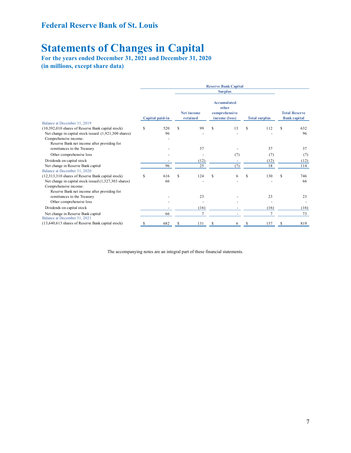# **Federal Reserve Bank of St. Louis Statements of Changes in Capital**

**For the years ended December 31, 2021 and December 31, 2020 (in millions, except share data)** 

|                                                                            |   |                 |                               |      |   | <b>Surplus</b>                                                |   |                      |   |                                             |
|----------------------------------------------------------------------------|---|-----------------|-------------------------------|------|---|---------------------------------------------------------------|---|----------------------|---|---------------------------------------------|
|                                                                            |   | Capital paid-in | <b>Net income</b><br>retained |      |   | <b>Accumulated</b><br>other<br>comprehensive<br>income (loss) |   | <b>Total surplus</b> |   | <b>Total Reserve</b><br><b>Bank</b> capital |
| Balance at December 31, 2019                                               |   |                 |                               |      |   |                                                               |   |                      |   |                                             |
| (10,392,010 shares of Reserve Bank capital stock)                          | S | 520             | S                             | 99   | S | 13                                                            | S | 112                  | S | 632                                         |
| Net change in capital stock issued (1,921,300 shares)                      |   | 96              |                               |      |   |                                                               |   |                      |   | 96                                          |
| Comprehensive income:                                                      |   |                 |                               |      |   |                                                               |   |                      |   |                                             |
| Reserve Bank net income after providing for<br>remittances to the Treasury |   |                 |                               | 37   |   |                                                               |   | 37                   |   | 37                                          |
|                                                                            |   |                 |                               |      |   |                                                               |   |                      |   |                                             |
| Other comprehensive loss                                                   |   |                 |                               |      |   | (7)                                                           |   | (7)                  |   | (7)                                         |
| Dividends on capital stock                                                 |   |                 |                               | (12) |   |                                                               |   | (12)                 |   | (12)                                        |
| Net change in Reserve Bank capital                                         |   | 96              |                               | 25   |   | (7)                                                           |   | 18                   |   | 114                                         |
| Balance at December 31, 2020                                               |   |                 |                               |      |   |                                                               |   |                      |   |                                             |
| (12,313,310 shares of Reserve Bank capital stock)                          | S | 616             | S                             | 124  | S | 6                                                             | S | 130                  | S | 746                                         |
| Net change in capital stock issued (1,327,303 shares)                      |   | 66              |                               |      |   |                                                               |   |                      |   | 66                                          |
| Comprehensive income:                                                      |   |                 |                               |      |   |                                                               |   |                      |   |                                             |
| Reserve Bank net income after providing for                                |   |                 |                               |      |   |                                                               |   |                      |   |                                             |
| remittances to the Treasury                                                |   |                 |                               | 23   |   |                                                               |   | 23                   |   | 23                                          |
| Other comprehensive loss                                                   |   |                 |                               |      |   |                                                               |   |                      |   |                                             |
| Dividends on capital stock                                                 |   |                 |                               | (16) |   |                                                               |   | (16)                 |   | (16)                                        |
| Net change in Reserve Bank capital                                         |   | 66              |                               | 7    |   |                                                               |   | $\overline{7}$       |   | 73                                          |
| Balance at December 31, 2021                                               |   |                 |                               |      |   |                                                               |   |                      |   |                                             |
| (13,640,613 shares of Reserve Bank capital stock)                          | S | 682             | S                             | 131  | S | 6                                                             | S | 137                  | S | 819                                         |

The accompanying notes are an integral part of these financial statements.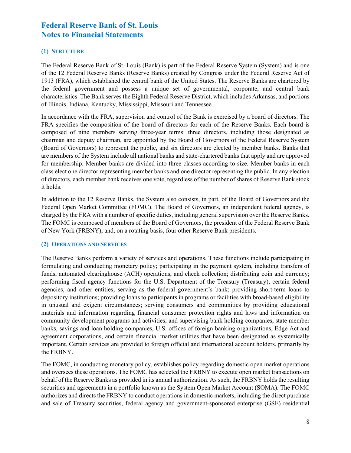#### **(1) STRUCTURE**

 of the 12 Federal Reserve Banks (Reserve Banks) created by Congress under the Federal Reserve Act of 1913 (FRA), which established the central bank of the United States. The Reserve Banks are chartered by The Federal Reserve Bank of St. Louis (Bank) is part of the Federal Reserve System (System) and is one the federal government and possess a unique set of governmental, corporate, and central bank characteristics. The Bank serves the Eighth Federal Reserve District, which includes Arkansas, and portions of Illinois, Indiana, Kentucky, Mississippi, Missouri and Tennessee.

 In accordance with the FRA, supervision and control of the Bank is exercised by a board of directors. The FRA specifies the composition of the board of directors for each of the Reserve Banks. Each board is (Board of Governors) to represent the public, and six directors are elected by member banks. Banks that for membership. Member banks are divided into three classes according to size. Member banks in each class elect one director representing member banks and one director representing the public. In any election of directors, each member bank receives one vote, regardless of the number of shares of Reserve Bank stock composed of nine members serving three-year terms: three directors, including those designated as chairman and deputy chairman, are appointed by the Board of Governors of the Federal Reserve System are members of the System include all national banks and state-chartered banks that apply and are approved it holds.

 charged by the FRA with a number of specific duties, including general supervision over the Reserve Banks. The FOMC is composed of members of the Board of Governors, the president of the Federal Reserve Bank In addition to the 12 Reserve Banks, the System also consists, in part, of the Board of Governors and the Federal Open Market Committee (FOMC). The Board of Governors, an independent federal agency, is of New York (FRBNY), and, on a rotating basis, four other Reserve Bank presidents.

#### **(2) OPERATIONS AND SERVICES**

 The Reserve Banks perform a variety of services and operations. These functions include participating in formulating and conducting monetary policy; participating in the payment system, including transfers of in unusual and exigent circumstances; serving consumers and communities by providing educational materials and information regarding financial consumer protection rights and laws and information on banks, savings and loan holding companies, U.S. offices of foreign banking organizations, Edge Act and agreement corporations, and certain financial market utilities that have been designated as systemically important. Certain services are provided to foreign official and international account holders, primarily by funds, automated clearinghouse (ACH) operations, and check collection; distributing coin and currency; performing fiscal agency functions for the U.S. Department of the Treasury (Treasury), certain federal agencies, and other entities; serving as the federal government's bank; providing short-term loans to depository institutions; providing loans to participants in programs or facilities with broad-based eligibility community development programs and activities; and supervising bank holding companies, state member the FRBNY.

 behalf of the Reserve Banks as provided in its annual authorization. As such, the FRBNY holds the resulting securities and agreements in a portfolio known as the System Open Market Account (SOMA). The FOMC authorizes and directs the FRBNY to conduct operations in domestic markets, including the direct purchase The FOMC, in conducting monetary policy, establishes policy regarding domestic open market operations and oversees these operations. The FOMC has selected the FRBNY to execute open market transactions on and sale of Treasury securities, federal agency and government-sponsored enterprise (GSE) residential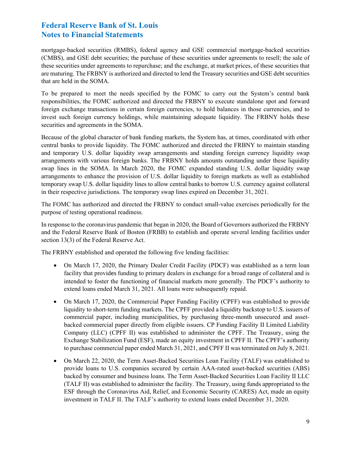that are held in the SOMA. mortgage-backed securities (RMBS), federal agency and GSE commercial mortgage-backed securities (CMBS), and GSE debt securities; the purchase of these securities under agreements to resell; the sale of these securities under agreements to repurchase; and the exchange, at market prices, of these securities that are maturing. The FRBNY is authorized and directed to lend the Treasury securities and GSE debt securities

 responsibilities, the FOMC authorized and directed the FRBNY to execute standalone spot and forward To be prepared to meet the needs specified by the FOMC to carry out the System's central bank foreign exchange transactions in certain foreign currencies, to hold balances in those currencies, and to invest such foreign currency holdings, while maintaining adequate liquidity. The FRBNY holds these securities and agreements in the SOMA.

 swap lines in the SOMA. In March 2020, the FOMC expanded standing U.S. dollar liquidity swap temporary swap U.S. dollar liquidity lines to allow central banks to borrow U.S. currency against collateral Because of the global character of bank funding markets, the System has, at times, coordinated with other central banks to provide liquidity. The FOMC authorized and directed the FRBNY to maintain standing and temporary U.S. dollar liquidity swap arrangements and standing foreign currency liquidity swap arrangements with various foreign banks. The FRBNY holds amounts outstanding under these liquidity arrangements to enhance the provision of U.S. dollar liquidity to foreign markets as well as established in their respective jurisdictions. The temporary swap lines expired on December 31, 2021.

The FOMC has authorized and directed the FRBNY to conduct small-value exercises periodically for the purpose of testing operational readiness.

In response to the coronavirus pandemic that began in 2020, the Board of Governors authorized the FRBNY and the Federal Reserve Bank of Boston (FRBB) to establish and operate several lending facilities under section 13(3) of the Federal Reserve Act.

The FRBNY established and operated the following five lending facilities:

- On March 17, 2020, the Primary Dealer Credit Facility (PDCF) was established as a term loan facility that provides funding to primary dealers in exchange for a broad range of collateral and is intended to foster the functioning of financial markets more generally. The PDCF's authority to extend loans ended March 31, 2021. All loans were subsequently repaid.
- Exchange Stabilization Fund (ESF), made an equity investment in CPFF II. The CPFF's authority • On March 17, 2020, the Commercial Paper Funding Facility (CPFF) was established to provide liquidity to short-term funding markets. The CPFF provided a liquidity backstop to U.S. issuers of commercial paper, including municipalities, by purchasing three-month unsecured and assetbacked commercial paper directly from eligible issuers. CP Funding Facility II Limited Liability Company (LLC) (CPFF II) was established to administer the CPFF. The Treasury, using the to purchase commercial paper ended March 31, 2021, and CPFF II was terminated on July 8, 2021.
- provide loans to U.S. companies secured by certain AAA-rated asset-backed securities (ABS) • On March 22, 2020, the Term Asset-Backed Securities Loan Facility (TALF) was established to backed by consumer and business loans. The Term Asset-Backed Securities Loan Facility II LLC (TALF II) was established to administer the facility. The Treasury, using funds appropriated to the ESF through the Coronavirus Aid, Relief, and Economic Security (CARES) Act, made an equity investment in TALF II. The TALF's authority to extend loans ended December 31, 2020.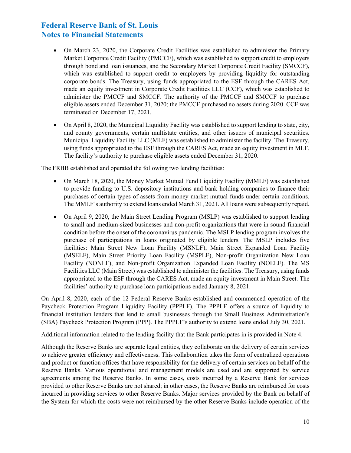- On March 23, 2020, the Corporate Credit Facilities was established to administer the Primary which was established to support credit to employers by providing liquidity for outstanding corporate bonds. The Treasury, using funds appropriated to the ESF through the CARES Act, Market Corporate Credit Facility (PMCCF), which was established to support credit to employers through bond and loan issuances, and the Secondary Market Corporate Credit Facility (SMCCF), made an equity investment in Corporate Credit Facilities LLC (CCF), which was established to administer the PMCCF and SMCCF. The authority of the PMCCF and SMCCF to purchase eligible assets ended December 31, 2020; the PMCCF purchased no assets during 2020. CCF was terminated on December 17, 2021.
- using funds appropriated to the ESF through the CARES Act, made an equity investment in MLF. The facility's authority to purchase eligible assets ended December 31, 2020. • On April 8, 2020, the Municipal Liquidity Facility was established to support lending to state, city, and county governments, certain multistate entities, and other issuers of municipal securities. Municipal Liquidity Facility LLC (MLF) was established to administer the facility. The Treasury,

The FRBB established and operated the following two lending facilities:

- On March 18, 2020, the Money Market Mutual Fund Liquidity Facility (MMLF) was established to provide funding to U.S. depository institutions and bank holding companies to finance their purchases of certain types of assets from money market mutual funds under certain conditions. The MMLF's authority to extend loans ended March 31, 2021. All loans were subsequently repaid.
- facilities: Main Street New Loan Facility (MSNLF), Main Street Expanded Loan Facility facilities' authority to purchase loan participations ended January 8, 2021. • On April 9, 2020, the Main Street Lending Program (MSLP) was established to support lending to small and medium-sized businesses and non-profit organizations that were in sound financial condition before the onset of the coronavirus pandemic. The MSLP lending program involves the purchase of participations in loans originated by eligible lenders. The MSLP includes five (MSELF), Main Street Priority Loan Facility (MSPLF), Non-profit Organization New Loan Facility (NONLF), and Non-profit Organization Expanded Loan Facility (NOELF). The MS Facilities LLC (Main Street) was established to administer the facilities. The Treasury, using funds appropriated to the ESF through the CARES Act, made an equity investment in Main Street. The

 On April 8, 2020, each of the 12 Federal Reserve Banks established and commenced operation of the Paycheck Protection Program Liquidity Facility (PPPLF). The PPPLF offers a source of liquidity to financial institution lenders that lend to small businesses through the Small Business Administration's (SBA) Paycheck Protection Program (PPP). The PPPLF's authority to extend loans ended July 30, 2021.

Additional information related to the lending facility that the Bank participates in is provided in Note 4.

 the System for which the costs were not reimbursed by the other Reserve Banks include operation of the Although the Reserve Banks are separate legal entities, they collaborate on the delivery of certain services to achieve greater efficiency and effectiveness. This collaboration takes the form of centralized operations and product or function offices that have responsibility for the delivery of certain services on behalf of the Reserve Banks. Various operational and management models are used and are supported by service agreements among the Reserve Banks. In some cases, costs incurred by a Reserve Bank for services provided to other Reserve Banks are not shared; in other cases, the Reserve Banks are reimbursed for costs incurred in providing services to other Reserve Banks. Major services provided by the Bank on behalf of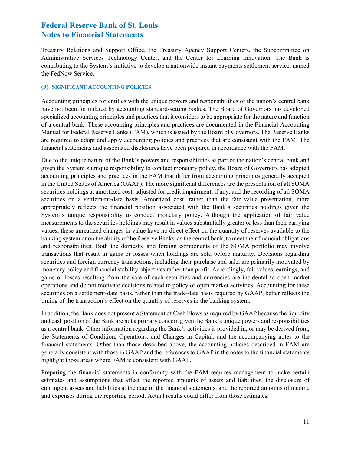Treasury Relations and Support Office, the Treasury Agency Support Centers, the Subcommittee on contributing to the System's initiative to develop a nationwide instant payments settlement service, named Administrative Services Technology Center, and the Center for Learning Innovation. The Bank is the FedNow Service.

#### **(3) SIGNIFICANT ACCOUNTING POLICIES**

 of a central bank. These accounting principles and practices are documented in the Financial Accounting Manual for Federal Reserve Banks (FAM), which is issued by the Board of Governors. The Reserve Banks Accounting principles for entities with the unique powers and responsibilities of the nation's central bank have not been formulated by accounting standard-setting bodies. The Board of Governors has developed specialized accounting principles and practices that it considers to be appropriate for the nature and function are required to adopt and apply accounting policies and practices that are consistent with the FAM. The financial statements and associated disclosures have been prepared in accordance with the FAM.

 Due to the unique nature of the Bank's powers and responsibilities as part of the nation's central bank and securities on a settlement-date basis. Amortized cost, rather than the fair value presentation, more System's unique responsibility to conduct monetary policy. Although the application of fair value measurements to the securities holdings may result in values substantially greater or less than their carrying transactions that result in gains or losses when holdings are sold before maturity. Decisions regarding securities and foreign currency transactions, including their purchase and sale, are primarily motivated by timing of the transaction's effect on the quantity of reserves in the banking system. given the System's unique responsibility to conduct monetary policy, the Board of Governors has adopted accounting principles and practices in the FAM that differ from accounting principles generally accepted in the United States of America (GAAP). The more significant differences are the presentation of all SOMA securities holdings at amortized cost, adjusted for credit impairment, if any, and the recording of all SOMA appropriately reflects the financial position associated with the Bank's securities holdings given the values, these unrealized changes in value have no direct effect on the quantity of reserves available to the banking system or on the ability of the Reserve Banks, as the central bank, to meet their financial obligations and responsibilities. Both the domestic and foreign components of the SOMA portfolio may involve monetary policy and financial stability objectives rather than profit. Accordingly, fair values, earnings, and gains or losses resulting from the sale of such securities and currencies are incidental to open market operations and do not motivate decisions related to policy or open market activities. Accounting for these securities on a settlement-date basis, rather than the trade-date basis required by GAAP, better reflects the

 In addition, the Bank does not present a Statement of Cash Flows as required by GAAP because the liquidity and cash position of the Bank are not a primary concern given the Bank's unique powers and responsibilities as a central bank. Other information regarding the Bank's activities is provided in, or may be derived from, generally consistent with those in GAAP and the references to GAAP in the notes to the financial statements the Statements of Condition, Operations, and Changes in Capital, and the accompanying notes to the financial statements. Other than those described above, the accounting policies described in FAM are highlight those areas where FAM is consistent with GAAP.

 Preparing the financial statements in conformity with the FAM requires management to make certain estimates and assumptions that affect the reported amounts of assets and liabilities, the disclosure of contingent assets and liabilities at the date of the financial statements, and the reported amounts of income and expenses during the reporting period. Actual results could differ from those estimates.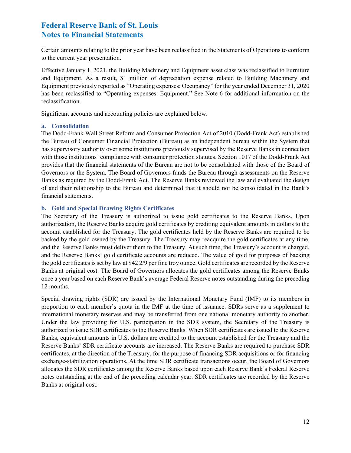Certain amounts relating to the prior year have been reclassified in the Statements of Operations to conform to the current year presentation.

 Effective January 1, 2021, the Building Machinery and Equipment asset class was reclassified to Furniture and Equipment. As a result, \$1 million of depreciation expense related to Building Machinery and Equipment previously reported as "Operating expenses: Occupancy" for the year ended December 31, 2020 has been reclassified to "Operating expenses: Equipment." See Note 6 for additional information on the reclassification.

Significant accounts and accounting policies are explained below.

#### **a. Consolidation**

 the Bureau of Consumer Financial Protection (Bureau) as an independent bureau within the System that has supervisory authority over some institutions previously supervised by the Reserve Banks in connection provides that the financial statements of the Bureau are not to be consolidated with those of the Board of Governors or the System. The Board of Governors funds the Bureau through assessments on the Reserve Banks as required by the Dodd-Frank Act. The Reserve Banks reviewed the law and evaluated the design The Dodd-Frank Wall Street Reform and Consumer Protection Act of 2010 (Dodd-Frank Act) established with those institutions' compliance with consumer protection statutes. Section 1017 of the Dodd-Frank Act of and their relationship to the Bureau and determined that it should not be consolidated in the Bank's financial statements.

#### **b. Gold and Special Drawing Rights Certificates**

 once a year based on each Reserve Bank's average Federal Reserve notes outstanding during the preceding The Secretary of the Treasury is authorized to issue gold certificates to the Reserve Banks. Upon authorization, the Reserve Banks acquire gold certificates by crediting equivalent amounts in dollars to the account established for the Treasury. The gold certificates held by the Reserve Banks are required to be backed by the gold owned by the Treasury. The Treasury may reacquire the gold certificates at any time, and the Reserve Banks must deliver them to the Treasury. At such time, the Treasury's account is charged, and the Reserve Banks' gold certificate accounts are reduced. The value of gold for purposes of backing the gold certificates is set by law at \$42 2/9 per fine troy ounce. Gold certificates are recorded by the Reserve Banks at original cost. The Board of Governors allocates the gold certificates among the Reserve Banks 12 months.

 Under the law providing for U.S. participation in the SDR system, the Secretary of the Treasury is authorized to issue SDR certificates to the Reserve Banks. When SDR certificates are issued to the Reserve allocates the SDR certificates among the Reserve Banks based upon each Reserve Bank's Federal Reserve notes outstanding at the end of the preceding calendar year. SDR certificates are recorded by the Reserve Special drawing rights (SDR) are issued by the International Monetary Fund (IMF) to its members in proportion to each member's quota in the IMF at the time of issuance. SDRs serve as a supplement to international monetary reserves and may be transferred from one national monetary authority to another. Banks, equivalent amounts in U.S. dollars are credited to the account established for the Treasury and the Reserve Banks' SDR certificate accounts are increased. The Reserve Banks are required to purchase SDR certificates, at the direction of the Treasury, for the purpose of financing SDR acquisitions or for financing exchange-stabilization operations. At the time SDR certificate transactions occur, the Board of Governors Banks at original cost.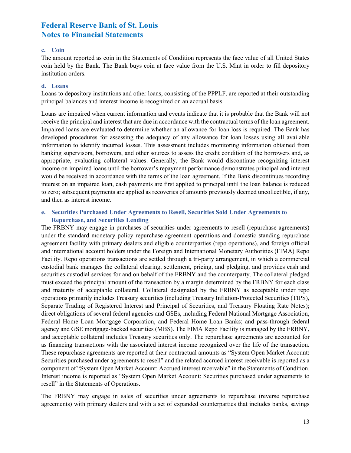### **Federal Reserve Bank of St. Louis Federal Statements**

#### **c. Coin**

 The amount reported as coin in the Statements of Condition represents the face value of all United States coin held by the Bank. The Bank buys coin at face value from the U.S. Mint in order to fill depository institution orders.

#### **d. Loans**

 Loans to depository institutions and other loans, consisting of the PPPLF, are reported at their outstanding principal balances and interest income is recognized on an accrual basis.

 information to identify incurred losses. This assessment includes monitoring information obtained from interest on an impaired loan, cash payments are first applied to principal until the loan balance is reduced Loans are impaired when current information and events indicate that it is probable that the Bank will not receive the principal and interest that are due in accordance with the contractual terms of the loan agreement. Impaired loans are evaluated to determine whether an allowance for loan loss is required. The Bank has developed procedures for assessing the adequacy of any allowance for loan losses using all available banking supervisors, borrowers, and other sources to assess the credit condition of the borrowers and, as appropriate, evaluating collateral values. Generally, the Bank would discontinue recognizing interest income on impaired loans until the borrower's repayment performance demonstrates principal and interest would be received in accordance with the terms of the loan agreement. If the Bank discontinues recording to zero; subsequent payments are applied as recoveries of amounts previously deemed uncollectible, if any, and then as interest income.

#### **e. Securities Purchased Under Agreements to Resell, Securities Sold Under Agreements to Repurchase, and Securities Lending**

 agreement facility with primary dealers and eligible counterparties (repo operations), and foreign official Facility. Repo operations transactions are settled through a tri-party arrangement, in which a commercial must exceed the principal amount of the transaction by a margin determined by the FRBNY for each class and maturity of acceptable collateral. Collateral designated by the FRBNY as acceptable under repo operations primarily includes Treasury securities (including Treasury Inflation-Protected Securities (TIPS), Separate Trading of Registered Interest and Principal of Securities, and Treasury Floating Rate Notes); direct obligations of several federal agencies and GSEs, including Federal National Mortgage Association, and acceptable collateral includes Treasury securities only. The repurchase agreements are accounted for Interest income is reported as "System Open Market Account: Securities purchased under agreements to The FRBNY may engage in purchases of securities under agreements to resell (repurchase agreements) under the standard monetary policy repurchase agreement operations and domestic standing repurchase and international account holders under the Foreign and International Monetary Authorities (FIMA) Repo custodial bank manages the collateral clearing, settlement, pricing, and pledging, and provides cash and securities custodial services for and on behalf of the FRBNY and the counterparty. The collateral pledged Federal Home Loan Mortgage Corporation, and Federal Home Loan Banks; and pass-through federal agency and GSE mortgage-backed securities (MBS). The FIMA Repo Facility is managed by the FRBNY, as financing transactions with the associated interest income recognized over the life of the transaction. These repurchase agreements are reported at their contractual amounts as "System Open Market Account: Securities purchased under agreements to resell" and the related accrued interest receivable is reported as a component of "System Open Market Account: Accrued interest receivable" in the Statements of Condition. resell" in the Statements of Operations.

 The FRBNY may engage in sales of securities under agreements to repurchase (reverse repurchase agreements) with primary dealers and with a set of expanded counterparties that includes banks, savings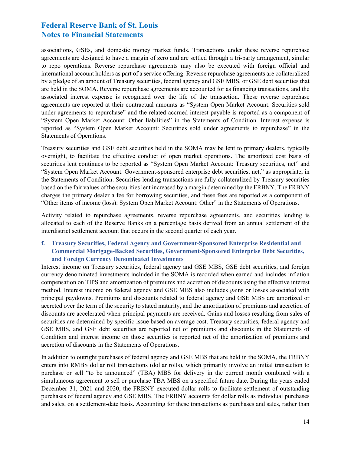international account holders as part of a service offering. Reverse repurchase agreements are collateralized are held in the SOMA. Reverse repurchase agreements are accounted for as financing transactions, and the agreements are reported at their contractual amounts as "System Open Market Account: Securities sold associations, GSEs, and domestic money market funds. Transactions under these reverse repurchase agreements are designed to have a margin of zero and are settled through a tri-party arrangement, similar to repo operations. Reverse repurchase agreements may also be executed with foreign official and by a pledge of an amount of Treasury securities, federal agency and GSE MBS, or GSE debt securities that associated interest expense is recognized over the life of the transaction. These reverse repurchase under agreements to repurchase" and the related accrued interest payable is reported as a component of "System Open Market Account: Other liabilities" in the Statements of Condition. Interest expense is reported as "System Open Market Account: Securities sold under agreements to repurchase" in the Statements of Operations.

 Treasury securities and GSE debt securities held in the SOMA may be lent to primary dealers, typically overnight, to facilitate the effective conduct of open market operations. The amortized cost basis of securities lent continues to be reported as "System Open Market Account: Treasury securities, net" and based on the fair values of the securities lent increased by a margin determined by the FRBNY. The FRBNY "System Open Market Account: Government-sponsored enterprise debt securities, net," as appropriate, in the Statements of Condition. Securities lending transactions are fully collateralized by Treasury securities charges the primary dealer a fee for borrowing securities, and these fees are reported as a component of "Other items of income (loss): System Open Market Account: Other" in the Statements of Operations.

Activity related to repurchase agreements, reverse repurchase agreements, and securities lending is allocated to each of the Reserve Banks on a percentage basis derived from an annual settlement of the interdistrict settlement account that occurs in the second quarter of each year.

#### **f. Treasury Securities, Federal Agency and Government-Sponsored Enterprise Residential and Commercial Mortgage-Backed Securities, Government-Sponsored Enterprise Debt Securities, and Foreign Currency Denominated Investments**

 compensation on TIPS and amortization of premiums and accretion of discounts using the effective interest accreted over the term of the security to stated maturity, and the amortization of premiums and accretion of discounts are accelerated when principal payments are received. Gains and losses resulting from sales of securities are determined by specific issue based on average cost. Treasury securities, federal agency and GSE MBS, and GSE debt securities are reported net of premiums and discounts in the Statements of Condition and interest income on those securities is reported net of the amortization of premiums and Interest income on Treasury securities, federal agency and GSE MBS, GSE debt securities, and foreign currency denominated investments included in the SOMA is recorded when earned and includes inflation method. Interest income on federal agency and GSE MBS also includes gains or losses associated with principal paydowns. Premiums and discounts related to federal agency and GSE MBS are amortized or accretion of discounts in the Statements of Operations.

 In addition to outright purchases of federal agency and GSE MBS that are held in the SOMA, the FRBNY purchase or sell "to be announced" (TBA) MBS for delivery in the current month combined with a December 31, 2021 and 2020, the FRBNY executed dollar rolls to facilitate settlement of outstanding and sales, on a settlement-date basis. Accounting for these transactions as purchases and sales, rather than enters into RMBS dollar roll transactions (dollar rolls), which primarily involve an initial transaction to simultaneous agreement to sell or purchase TBA MBS on a specified future date. During the years ended purchases of federal agency and GSE MBS. The FRBNY accounts for dollar rolls as individual purchases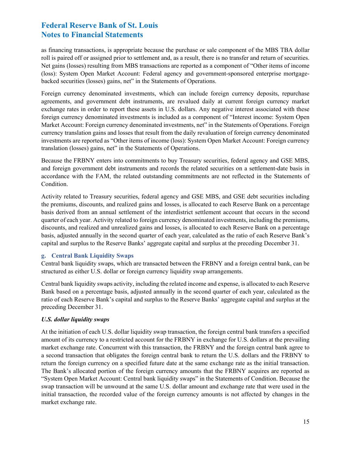roll is paired off or assigned prior to settlement and, as a result, there is no transfer and return of securities. as financing transactions, is appropriate because the purchase or sale component of the MBS TBA dollar Net gains (losses) resulting from MBS transactions are reported as a component of "Other items of income (loss): System Open Market Account: Federal agency and government-sponsored enterprise mortgagebacked securities (losses) gains, net" in the Statements of Operations.

 agreements, and government debt instruments, are revalued daily at current foreign currency market exchange rates in order to report these assets in U.S. dollars. Any negative interest associated with these Foreign currency denominated investments, which can include foreign currency deposits, repurchase foreign currency denominated investments is included as a component of "Interest income: System Open Market Account: Foreign currency denominated investments, net" in the Statements of Operations. Foreign currency translation gains and losses that result from the daily revaluation of foreign currency denominated investments are reported as "Other items of income (loss): System Open Market Account: Foreign currency translation (losses) gains, net" in the Statements of Operations.

 accordance with the FAM, the related outstanding commitments are not reflected in the Statements of Because the FRBNY enters into commitments to buy Treasury securities, federal agency and GSE MBS, and foreign government debt instruments and records the related securities on a settlement-date basis in Condition.

 basis, adjusted annually in the second quarter of each year, calculated as the ratio of each Reserve Bank's capital and surplus to the Reserve Banks' aggregate capital and surplus at the preceding December 31. Activity related to Treasury securities, federal agency and GSE MBS, and GSE debt securities including the premiums, discounts, and realized gains and losses, is allocated to each Reserve Bank on a percentage basis derived from an annual settlement of the interdistrict settlement account that occurs in the second quarter of each year. Activity related to foreign currency denominated investments, including the premiums, discounts, and realized and unrealized gains and losses, is allocated to each Reserve Bank on a percentage

#### **g. Central Bank Liquidity Swaps**

 Central bank liquidity swaps, which are transacted between the FRBNY and a foreign central bank, can be structured as either U.S. dollar or foreign currency liquidity swap arrangements.

 Central bank liquidity swaps activity, including the related income and expense, is allocated to each Reserve ratio of each Reserve Bank's capital and surplus to the Reserve Banks' aggregate capital and surplus at the Bank based on a percentage basis, adjusted annually in the second quarter of each year, calculated as the preceding December 31.

#### *U.S. dollar liquidity swaps*

 "System Open Market Account: Central bank liquidity swaps" in the Statements of Condition. Because the swap transaction will be unwound at the same U.S. dollar amount and exchange rate that were used in the At the initiation of each U.S. dollar liquidity swap transaction, the foreign central bank transfers a specified amount of its currency to a restricted account for the FRBNY in exchange for U.S. dollars at the prevailing market exchange rate. Concurrent with this transaction, the FRBNY and the foreign central bank agree to a second transaction that obligates the foreign central bank to return the U.S. dollars and the FRBNY to return the foreign currency on a specified future date at the same exchange rate as the initial transaction. The Bank's allocated portion of the foreign currency amounts that the FRBNY acquires are reported as initial transaction, the recorded value of the foreign currency amounts is not affected by changes in the market exchange rate.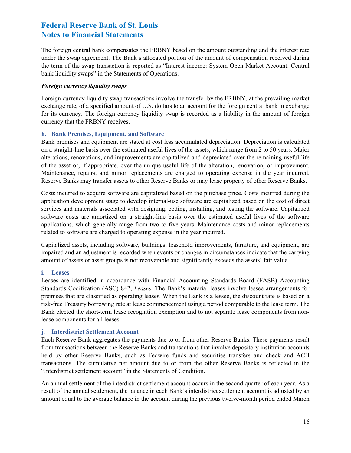The foreign central bank compensates the FRBNY based on the amount outstanding and the interest rate under the swap agreement. The Bank's allocated portion of the amount of compensation received during the term of the swap transaction is reported as "Interest income: System Open Market Account: Central bank liquidity swaps" in the Statements of Operations.

#### *Foreign currency liquidity swaps*

 exchange rate, of a specified amount of U.S. dollars to an account for the foreign central bank in exchange Foreign currency liquidity swap transactions involve the transfer by the FRBNY, at the prevailing market for its currency. The foreign currency liquidity swap is recorded as a liability in the amount of foreign currency that the FRBNY receives.

#### **h. Bank Premises, Equipment, and Software**

 on a straight-line basis over the estimated useful lives of the assets, which range from 2 to 50 years. Major alterations, renovations, and improvements are capitalized and depreciated over the remaining useful life Bank premises and equipment are stated at cost less accumulated depreciation. Depreciation is calculated of the asset or, if appropriate, over the unique useful life of the alteration, renovation, or improvement. Maintenance, repairs, and minor replacements are charged to operating expense in the year incurred. Reserve Banks may transfer assets to other Reserve Banks or may lease property of other Reserve Banks.

 software costs are amortized on a straight-line basis over the estimated useful lives of the software Costs incurred to acquire software are capitalized based on the purchase price. Costs incurred during the application development stage to develop internal-use software are capitalized based on the cost of direct services and materials associated with designing, coding, installing, and testing the software. Capitalized applications, which generally range from two to five years. Maintenance costs and minor replacements related to software are charged to operating expense in the year incurred.

 Capitalized assets, including software, buildings, leasehold improvements, furniture, and equipment, are impaired and an adjustment is recorded when events or changes in circumstances indicate that the carrying amount of assets or asset groups is not recoverable and significantly exceeds the assets' fair value.

#### **i. Leases**

 Leases are identified in accordance with Financial Accounting Standards Board (FASB) Accounting risk-free Treasury borrowing rate at lease commencement using a period comparable to the lease term. The Standards Codification (ASC) 842, *Leases*. The Bank's material leases involve lessee arrangements for premises that are classified as operating leases. When the Bank is a lessee, the discount rate is based on a Bank elected the short-term lease recognition exemption and to not separate lease components from nonlease components for all leases.

#### **j. Interdistrict Settlement Account**

 from transactions between the Reserve Banks and transactions that involve depository institution accounts transactions. The cumulative net amount due to or from the other Reserve Banks is reflected in the Each Reserve Bank aggregates the payments due to or from other Reserve Banks. These payments result held by other Reserve Banks, such as Fedwire funds and securities transfers and check and ACH "Interdistrict settlement account" in the Statements of Condition.

 An annual settlement of the interdistrict settlement account occurs in the second quarter of each year. As a result of the annual settlement, the balance in each Bank's interdistrict settlement account is adjusted by an amount equal to the average balance in the account during the previous twelve-month period ended March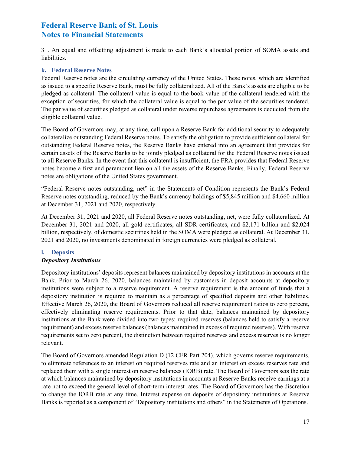31. An equal and offsetting adjustment is made to each Bank's allocated portion of SOMA assets and liabilities.

#### **k. Federal Reserve Notes**

 exception of securities, for which the collateral value is equal to the par value of the securities tendered. Federal Reserve notes are the circulating currency of the United States. These notes, which are identified as issued to a specific Reserve Bank, must be fully collateralized. All of the Bank's assets are eligible to be pledged as collateral. The collateral value is equal to the book value of the collateral tendered with the The par value of securities pledged as collateral under reverse repurchase agreements is deducted from the eligible collateral value.

 The Board of Governors may, at any time, call upon a Reserve Bank for additional security to adequately collateralize outstanding Federal Reserve notes. To satisfy the obligation to provide sufficient collateral for outstanding Federal Reserve notes, the Reserve Banks have entered into an agreement that provides for certain assets of the Reserve Banks to be jointly pledged as collateral for the Federal Reserve notes issued to all Reserve Banks. In the event that this collateral is insufficient, the FRA provides that Federal Reserve notes become a first and paramount lien on all the assets of the Reserve Banks. Finally, Federal Reserve notes are obligations of the United States government.

 "Federal Reserve notes outstanding, net" in the Statements of Condition represents the Bank's Federal at December 31, 2021 and 2020, respectively. Reserve notes outstanding, reduced by the Bank's currency holdings of \$5,845 million and \$4,660 million

 December 31, 2021 and 2020, all gold certificates, all SDR certificates, and \$2,171 billion and \$2,024 2021 and 2020, no investments denominated in foreign currencies were pledged as collateral. At December 31, 2021 and 2020, all Federal Reserve notes outstanding, net, were fully collateralized. At billion, respectively, of domestic securities held in the SOMA were pledged as collateral. At December 31,

#### **l. Deposits**

#### *Depository Institutions*

 institutions were subject to a reserve requirement. A reserve requirement is the amount of funds that a requirement) and excess reserve balances (balances maintained in excess of required reserves). With reserve relevant. Depository institutions' deposits represent balances maintained by depository institutions in accounts at the Bank. Prior to March 26, 2020, balances maintained by customers in deposit accounts at depository depository institution is required to maintain as a percentage of specified deposits and other liabilities. Effective March 26, 2020, the Board of Governors reduced all reserve requirement ratios to zero percent, effectively eliminating reserve requirements. Prior to that date, balances maintained by depository institutions at the Bank were divided into two types: required reserves (balances held to satisfy a reserve requirements set to zero percent, the distinction between required reserves and excess reserves is no longer

 to eliminate references to an interest on required reserves rate and an interest on excess reserves rate and replaced them with a single interest on reserve balances (IORB) rate. The Board of Governors sets the rate rate not to exceed the general level of short-term interest rates. The Board of Governors has the discretion The Board of Governors amended Regulation D (12 CFR Part 204), which governs reserve requirements, at which balances maintained by depository institutions in accounts at Reserve Banks receive earnings at a to change the IORB rate at any time. Interest expense on deposits of depository institutions at Reserve Banks is reported as a component of "Depository institutions and others" in the Statements of Operations.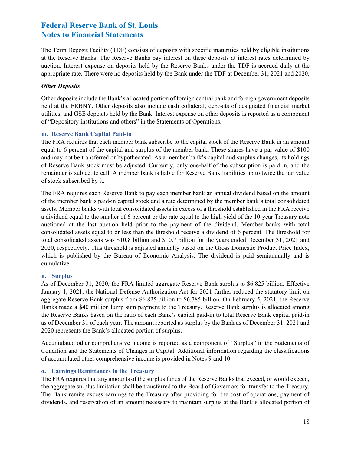The Term Deposit Facility (TDF) consists of deposits with specific maturities held by eligible institutions appropriate rate. There were no deposits held by the Bank under the TDF at December 31, 2021 and 2020. at the Reserve Banks. The Reserve Banks pay interest on these deposits at interest rates determined by auction. Interest expense on deposits held by the Reserve Banks under the TDF is accrued daily at the

#### *Other Deposits*

 Other deposits include the Bank's allocated portion of foreign central bank and foreign government deposits held at the FRBNY*.* Other deposits also include cash collateral, deposits of designated financial market utilities, and GSE deposits held by the Bank. Interest expense on other deposits is reported as a component of "Depository institutions and others" in the Statements of Operations.

#### **m. Reserve Bank Capital Paid-in**

 The FRA requires that each member bank subscribe to the capital stock of the Reserve Bank in an amount equal to 6 percent of the capital and surplus of the member bank. These shares have a par value of \$100 and may not be transferred or hypothecated. As a member bank's capital and surplus changes, its holdings of Reserve Bank stock must be adjusted. Currently, only one-half of the subscription is paid in, and the remainder is subject to call. A member bank is liable for Reserve Bank liabilities up to twice the par value of stock subscribed by it.

 The FRA requires each Reserve Bank to pay each member bank an annual dividend based on the amount assets. Member banks with total consolidated assets in excess of a threshold established in the FRA receive auctioned at the last auction held prior to the payment of the dividend. Member banks with total consolidated assets equal to or less than the threshold receive a dividend of 6 percent. The threshold for total consolidated assets was \$10.8 billion and \$10.7 billion for the years ended December 31, 2021 and 2020, respectively. This threshold is adjusted annually based on the Gross Domestic Product Price Index, which is published by the Bureau of Economic Analysis. The dividend is paid semiannually and is of the member bank's paid-in capital stock and a rate determined by the member bank's total consolidated a dividend equal to the smaller of 6 percent or the rate equal to the high yield of the 10-year Treasury note cumulative.

#### **n. Surplus**

 As of December 31, 2020, the FRA limited aggregate Reserve Bank surplus to \$6.825 billion. Effective January 1, 2021, the National Defense Authorization Act for 2021 further reduced the statutory limit on aggregate Reserve Bank surplus from \$6.825 billion to \$6.785 billion. On February 5, 2021, the Reserve Banks made a \$40 million lump sum payment to the Treasury. Reserve Bank surplus is allocated among as of December 31 of each year. The amount reported as surplus by the Bank as of December 31, 2021 and 2020 represents the Bank's allocated portion of surplus. the Reserve Banks based on the ratio of each Bank's capital paid-in to total Reserve Bank capital paid-in

 Condition and the Statements of Changes in Capital. Additional information regarding the classifications of accumulated other comprehensive income is provided in Notes 9 and 10. Accumulated other comprehensive income is reported as a component of "Surplus" in the Statements of

#### **o. Earnings Remittances to the Treasury**

 The FRA requires that any amounts of the surplus funds of the Reserve Banks that exceed, or would exceed, the aggregate surplus limitation shall be transferred to the Board of Governors for transfer to the Treasury. The Bank remits excess earnings to the Treasury after providing for the cost of operations, payment of dividends, and reservation of an amount necessary to maintain surplus at the Bank's allocated portion of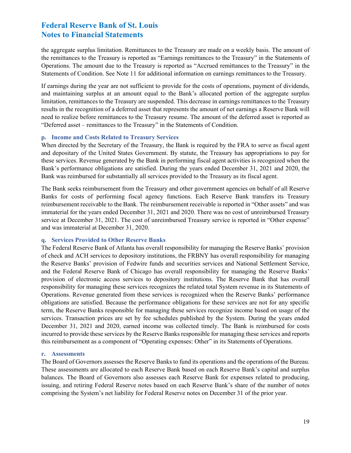the aggregate surplus limitation. Remittances to the Treasury are made on a weekly basis. The amount of Statements of Condition. See Note 11 for additional information on earnings remittances to the Treasury. the remittances to the Treasury is reported as "Earnings remittances to the Treasury" in the Statements of Operations. The amount due to the Treasury is reported as "Accrued remittances to the Treasury" in the

 If earnings during the year are not sufficient to provide for the costs of operations, payment of dividends, and maintaining surplus at an amount equal to the Bank's allocated portion of the aggregate surplus limitation, remittances to the Treasury are suspended. This decrease in earnings remittances to the Treasury "Deferred asset – remittances to the Treasury" in the Statements of Condition. results in the recognition of a deferred asset that represents the amount of net earnings a Reserve Bank will need to realize before remittances to the Treasury resume. The amount of the deferred asset is reported as

#### **p. Income and Costs Related to Treasury Services**

When directed by the Secretary of the Treasury, the Bank is required by the FRA to serve as fiscal agent and depositary of the United States Government. By statute, the Treasury has appropriations to pay for these services. Revenue generated by the Bank in performing fiscal agent activities is recognized when the Bank's performance obligations are satisfied. During the years ended December 31, 2021 and 2020, the Bank was reimbursed for substantially all services provided to the Treasury as its fiscal agent.

 The Bank seeks reimbursement from the Treasury and other government agencies on behalf of all Reserve immaterial for the years ended December 31, 2021 and 2020. There was no cost of unreimbursed Treasury service at December 31, 2021. The cost of unreimbursed Treasury service is reported in "Other expense" and was immaterial at December 31, 2020. Banks for costs of performing fiscal agency functions. Each Reserve Bank transfers its Treasury reimbursement receivable to the Bank. The reimbursement receivable is reported in "Other assets" and was

#### **q. Services Provided to Other Reserve Banks**

 The Federal Reserve Bank of Atlanta has overall responsibility for managing the Reserve Banks' provision of check and ACH services to depository institutions, the FRBNY has overall responsibility for managing and the Federal Reserve Bank of Chicago has overall responsibility for managing the Reserve Banks' provision of electronic access services to depository institutions. The Reserve Bank that has overall term, the Reserve Banks responsible for managing these services recognize income based on usage of the incurred to provide these services by the Reserve Banks responsible for managing these services and reports the Reserve Banks' provision of Fedwire funds and securities services and National Settlement Service, responsibility for managing these services recognizes the related total System revenue in its Statements of Operations. Revenue generated from these services is recognized when the Reserve Banks' performance obligations are satisfied. Because the performance obligations for these services are not for any specific services. Transaction prices are set by fee schedules published by the System. During the years ended December 31, 2021 and 2020, earned income was collected timely. The Bank is reimbursed for costs this reimbursement as a component of "Operating expenses: Other" in its Statements of Operations.

#### **r. Assessments**

 These assessments are allocated to each Reserve Bank based on each Reserve Bank's capital and surplus balances. The Board of Governors also assesses each Reserve Bank for expenses related to producing, The Board of Governors assesses the Reserve Banks to fund its operations and the operations of the Bureau. issuing, and retiring Federal Reserve notes based on each Reserve Bank's share of the number of notes comprising the System's net liability for Federal Reserve notes on December 31 of the prior year.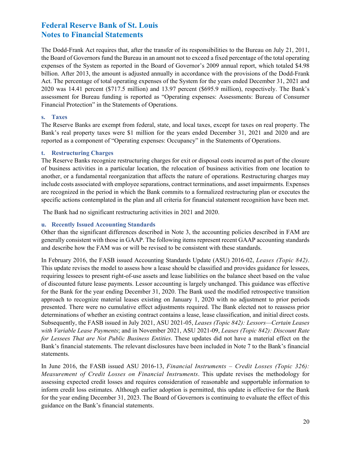the Board of Governors fund the Bureau in an amount not to exceed a fixed percentage of the total operating expenses of the System as reported in the Board of Governor's 2009 annual report, which totaled \$4.98 billion. After 2013, the amount is adjusted annually in accordance with the provisions of the Dodd-Frank Act. The percentage of total operating expenses of the System for the years ended December 31, 2021 and 2020 was 14.41 percent (\$717.5 million) and 13.97 percent (\$695.9 million), respectively. The Bank's assessment for Bureau funding is reported as "Operating expenses: Assessments: Bureau of Consumer The Dodd-Frank Act requires that, after the transfer of its responsibilities to the Bureau on July 21, 2011, Financial Protection" in the Statements of Operations.

#### **s. Taxes**

 The Reserve Banks are exempt from federal, state, and local taxes, except for taxes on real property. The Bank's real property taxes were \$1 million for the years ended December 31, 2021 and 2020 and are reported as a component of "Operating expenses: Occupancy" in the Statements of Operations.

#### **t. Restructuring Charges**

 The Reserve Banks recognize restructuring charges for exit or disposal costs incurred as part of the closure of business activities in a particular location, the relocation of business activities from one location to another, or a fundamental reorganization that affects the nature of operations. Restructuring charges may include costs associated with employee separations, contract terminations, and asset impairments. Expenses are recognized in the period in which the Bank commits to a formalized restructuring plan or executes the specific actions contemplated in the plan and all criteria for financial statement recognition have been met.

The Bank had no significant restructuring activities in 2021 and 2020.

#### **u. Recently Issued Accounting Standards**

 Other than the significant differences described in Note 3, the accounting policies described in FAM are generally consistent with those in GAAP. The following items represent recent GAAP accounting standards and describe how the FAM was or will be revised to be consistent with these standards.

 In February 2016, the FASB issued Accounting Standards Update (ASU) 2016-02, *Leases (Topic 842)*. of discounted future lease payments. Lessor accounting is largely unchanged. This guidance was effective approach to recognize material leases existing on January 1, 2020 with no adjustment to prior periods presented. There were no cumulative effect adjustments required. The Bank elected not to reassess prior determinations of whether an existing contract contains a lease, lease classification, and initial direct costs.  Subsequently, the FASB issued in July 2021, ASU 2021-05, *Leases (Topic 842): Lessors—Certain Leases with Variable Lease Payments*; and in November 2021, ASU 2021-09, *Leases (Topic 842): Discount Rate for Lessees That are Not Public Business Entities*. These updates did not have a material effect on the This update revises the model to assess how a lease should be classified and provides guidance for lessees, requiring lessees to present right-of-use assets and lease liabilities on the balance sheet based on the value for the Bank for the year ending December 31, 2020. The Bank used the modified retrospective transition Bank's financial statements. The relevant disclosures have been included in Note 7 to the Bank's financial statements.

 inform credit loss estimates. Although earlier adoption is permitted, this update is effective for the Bank guidance on the Bank's financial statements. In June 2016, the FASB issued ASU 2016-13, *Financial Instruments – Credit Losses (Topic 326): Measurement of Credit Losses on Financial Instruments*. This update revises the methodology for assessing expected credit losses and requires consideration of reasonable and supportable information to for the year ending December 31, 2023. The Board of Governors is continuing to evaluate the effect of this guidance on the Bank's financial statements.<br>
20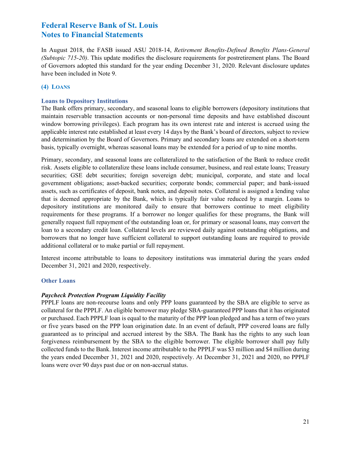of Governors adopted this standard for the year ending December 31, 2020. Relevant disclosure updates In August 2018, the FASB issued ASU 2018-14, *Retirement Benefits-Defined Benefits Plans-General (Subtopic 715-20)*. This update modifies the disclosure requirements for postretirement plans. The Board have been included in Note 9.

#### **(4) LOANS**

#### **Loans to Depository Institutions**

 window borrowing privileges). Each program has its own interest rate and interest is accrued using the applicable interest rate established at least every 14 days by the Bank's board of directors, subject to review The Bank offers primary, secondary, and seasonal loans to eligible borrowers (depository institutions that maintain reservable transaction accounts or non-personal time deposits and have established discount and determination by the Board of Governors. Primary and secondary loans are extended on a short-term basis, typically overnight, whereas seasonal loans may be extended for a period of up to nine months.

 depository institutions are monitored daily to ensure that borrowers continue to meet eligibility requirements for these programs. If a borrower no longer qualifies for these programs, the Bank will generally request full repayment of the outstanding loan or, for primary or seasonal loans, may convert the borrowers that no longer have sufficient collateral to support outstanding loans are required to provide additional collateral or to make partial or full repayment. Primary, secondary, and seasonal loans are collateralized to the satisfaction of the Bank to reduce credit risk. Assets eligible to collateralize these loans include consumer, business, and real estate loans; Treasury securities; GSE debt securities; foreign sovereign debt; municipal, corporate, and state and local government obligations; asset-backed securities; corporate bonds; commercial paper; and bank-issued assets, such as certificates of deposit, bank notes, and deposit notes. Collateral is assigned a lending value that is deemed appropriate by the Bank, which is typically fair value reduced by a margin. Loans to loan to a secondary credit loan. Collateral levels are reviewed daily against outstanding obligations, and

additional collateral or to make partial or full repayment.<br>Interest income attributable to loans to depository institutions was immaterial during the years ended December 31, 2021 and 2020, respectively.

#### **Other Loans**

#### *Paycheck Protection Program Liquidity Facility*

 collateral for the PPPLF. An eligible borrower may pledge SBA-guaranteed PPP loans that it has originated or purchased. Each PPPLF loan is equal to the maturity of the PPP loan pledged and has a term of two years or five years based on the PPP loan origination date. In an event of default, PPP covered loans are fully guaranteed as to principal and accrued interest by the SBA. The Bank has the rights to any such loan collected funds to the Bank. Interest income attributable to the PPPLF was \$3 million and \$4 million during the years ended December 31, 2021 and 2020, respectively. At December 31, 2021 and 2020, no PPPLF PPPLF loans are non-recourse loans and only PPP loans guaranteed by the SBA are eligible to serve as forgiveness reimbursement by the SBA to the eligible borrower. The eligible borrower shall pay fully loans were over 90 days past due or on non-accrual status.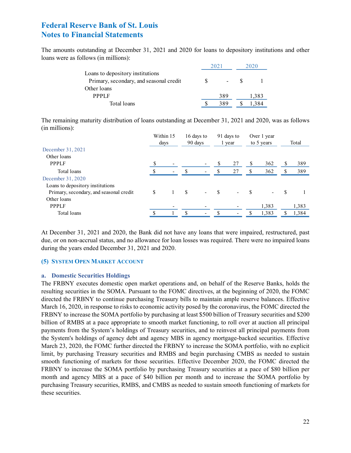The amounts outstanding at December 31, 2021 and 2020 for loans to depository institutions and other loans were as follows (in millions):

| Loans to depository institutions        |     |       |
|-----------------------------------------|-----|-------|
| Primary, secondary, and seasonal credit |     |       |
| Other loans                             |     |       |
| <b>PPPLF</b>                            | 389 | 1,383 |
| Total loans                             | 389 |       |

The remaining maturity distribution of loans outstanding at December 31, 2021 and 2020, was as follows (in millions):

| Within 15 |                          | 16 days to<br>90 days |  |     |                          |                      |                          |                           | Total |
|-----------|--------------------------|-----------------------|--|-----|--------------------------|----------------------|--------------------------|---------------------------|-------|
|           |                          |                       |  |     |                          |                      |                          |                           |       |
|           |                          |                       |  |     |                          |                      |                          |                           |       |
|           |                          |                       |  | S   | 27                       | S                    | 362                      | S                         | 389   |
|           | $\overline{\phantom{a}}$ | £.                    |  | \$. | 27                       | S                    | 362                      | \$                        | 389   |
|           |                          |                       |  |     |                          |                      |                          |                           |       |
|           |                          |                       |  |     |                          |                      |                          |                           |       |
| \$        |                          | <sup>\$</sup>         |  | S   | $\overline{\phantom{a}}$ | S                    | $\overline{\phantom{a}}$ | S                         |       |
|           |                          |                       |  |     |                          |                      |                          |                           |       |
|           |                          |                       |  |     |                          |                      | 1,383                    |                           | 1,383 |
|           |                          | ς                     |  |     |                          |                      | 1,383                    |                           | 1,384 |
|           |                          | days                  |  |     |                          | 91 days to<br>1 year |                          | Over 1 year<br>to 5 years |       |

 At December 31, 2021 and 2020, the Bank did not have any loans that were impaired, restructured, past due, or on non-accrual status, and no allowance for loan losses was required. There were no impaired loans during the years ended December 31, 2021 and 2020.

#### **(5) SYSTEM OPEN MARKET ACCOUNT**

#### **a. Domestic Securities Holdings**

 The FRBNY executes domestic open market operations and, on behalf of the Reserve Banks, holds the directed the FRBNY to continue purchasing Treasury bills to maintain ample reserve balances. Effective FRBNY to increase the SOMA portfolio by purchasing at least \$500 billion of Treasury securities and \$200 billion of RMBS at a pace appropriate to smooth market functioning, to roll over at auction all principal payments from the System's holdings of Treasury securities, and to reinvest all principal payments from smooth functioning of markets for those securities. Effective December 2020, the FOMC directed the FRBNY to increase the SOMA portfolio by purchasing Treasury securities at a pace of \$80 billion per purchasing Treasury securities, RMBS, and CMBS as needed to sustain smooth functioning of markets for these securities. resulting securities in the SOMA. Pursuant to the FOMC directives, at the beginning of 2020, the FOMC March 16, 2020, in response to risks to economic activity posed by the coronavirus, the FOMC directed the the System's holdings of agency debt and agency MBS in agency mortgage-backed securities. Effective March 23, 2020, the FOMC further directed the FRBNY to increase the SOMA portfolio, with no explicit limit, by purchasing Treasury securities and RMBS and begin purchasing CMBS as needed to sustain month and agency MBS at a pace of \$40 billion per month and to increase the SOMA portfolio by these securities.<br>22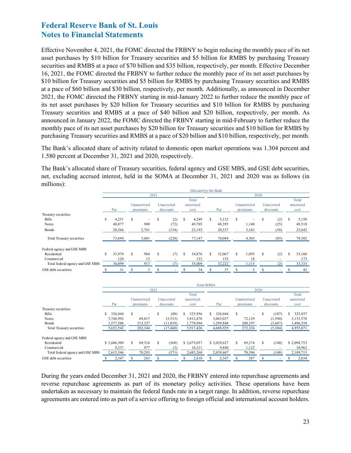16, 2021, the FOMC directed the FRBNY to further reduce the monthly pace of its net asset purchases by purchasing Treasury securities and RMBS at a pace of \$20 billion and \$10 billion, respectively, per month. Effective November 4, 2021, the FOMC directed the FRBNY to begin reducing the monthly pace of its net asset purchases by \$10 billion for Treasury securities and \$5 billion for RMBS by purchasing Treasury securities and RMBS at a pace of \$70 billion and \$35 billion, respectively, per month. Effective December \$10 billion for Treasury securities and \$5 billion for RMBS by purchasing Treasury securities and RMBS at a pace of \$60 billion and \$30 billion, respectively, per month. Additionally, as announced in December 2021, the FOMC directed the FRBNY starting in mid-January 2022 to further reduce the monthly pace of its net asset purchases by \$20 billion for Treasury securities and \$10 billion for RMBS by purchasing Treasury securities and RMBS at a pace of \$40 billion and \$20 billion, respectively, per month. As announced in January 2022, the FOMC directed the FRBNY starting in mid-February to further reduce the monthly pace of its net asset purchases by \$20 billion for Treasury securities and \$10 billion for RMBS by

The Bank's allocated share of activity related to domestic open market operations was 1.304 percent and 1.580 percent at December 31, 2021 and 2020, respectively.

 net, excluding accrued interest, held in the SOMA at December 31, 2021 and 2020 was as follows (in millions): The Bank's allocated share of Treasury securities, federal agency and GSE MBS, and GSE debt securities, millions):<br>
Allocated to the Bank

|                                  |    |        | Allocated to the Bank |                         |    |                         |    |                            |     |        |                         |       |                         |      |   |                            |  |  |  |  |  |  |  |  |  |  |  |  |  |  |  |  |  |  |  |  |
|----------------------------------|----|--------|-----------------------|-------------------------|----|-------------------------|----|----------------------------|-----|--------|-------------------------|-------|-------------------------|------|---|----------------------------|--|--|--|--|--|--|--|--|--|--|--|--|--|--|--|--|--|--|--|--|
|                                  |    |        |                       | 2021                    |    |                         |    |                            |     |        |                         |       | 2020                    |      |   |                            |  |  |  |  |  |  |  |  |  |  |  |  |  |  |  |  |  |  |  |  |
|                                  |    | Par    |                       | Unamortized<br>premiums |    | Unaccreted<br>discounts |    | Total<br>amortized<br>cost | Par |        | Unamortized<br>premiums |       | Unaccreted<br>discounts |      |   | Total<br>amortized<br>cost |  |  |  |  |  |  |  |  |  |  |  |  |  |  |  |  |  |  |  |  |
| Treasury securities              |    |        |                       |                         |    |                         |    |                            |     |        |                         |       |                         |      |   |                            |  |  |  |  |  |  |  |  |  |  |  |  |  |  |  |  |  |  |  |  |
| <b>Bills</b>                     | S  | 4,251  | S                     |                         | \$ | (2)                     | S  | 4,249                      | S.  | 5,152  | S                       |       | S                       | (2)  | S | 5,150                      |  |  |  |  |  |  |  |  |  |  |  |  |  |  |  |  |  |  |  |  |
| <b>Notes</b>                     |    | 48,877 |                       | 900                     |    | (72)                    |    | 49,705                     |     | 48,395 |                         | 1,140 |                         | (25) |   | 49,510                     |  |  |  |  |  |  |  |  |  |  |  |  |  |  |  |  |  |  |  |  |
| <b>Bonds</b>                     |    | 20,566 |                       | 2,781                   |    | (154)                   |    | 23,193                     |     | 20,537 |                         | 3,163 |                         | (58) |   | 23,642                     |  |  |  |  |  |  |  |  |  |  |  |  |  |  |  |  |  |  |  |  |
| Total Treasury securities        |    | 73,694 |                       | 3,681                   |    | (228)                   |    | 77,147                     |     | 74,084 |                         | 4,303 |                         | (85) |   | 78,302                     |  |  |  |  |  |  |  |  |  |  |  |  |  |  |  |  |  |  |  |  |
| Federal agency and GSE MBS       |    |        |                       |                         |    |                         |    |                            |     |        |                         |       |                         |      |   |                            |  |  |  |  |  |  |  |  |  |  |  |  |  |  |  |  |  |  |  |  |
| Residential                      | S. | 33,979 | S.                    | 904                     | S  | (7)                     | £. | 34,876                     | S.  | 32,067 | S.                      | 1,095 | S                       | (2)  | S | 33,160                     |  |  |  |  |  |  |  |  |  |  |  |  |  |  |  |  |  |  |  |  |
| Commercial                       |    | 120    |                       | 13                      |    |                         |    | 133                        |     | 155    |                         | 18    |                         |      |   | 173                        |  |  |  |  |  |  |  |  |  |  |  |  |  |  |  |  |  |  |  |  |
| Total federal agency and GSE MBS |    | 34,099 |                       | 917                     |    | 7)                      |    | 35,009                     |     | 32,222 |                         | 1,113 |                         | (2)  |   | 33,333                     |  |  |  |  |  |  |  |  |  |  |  |  |  |  |  |  |  |  |  |  |
| GSE debt securities              |    | 31     |                       |                         | \$ |                         |    | 34                         |     | 37     |                         | 5     |                         | ۰    |   | 42                         |  |  |  |  |  |  |  |  |  |  |  |  |  |  |  |  |  |  |  |  |

|                                  |             |       |                         |         |                                                              |           |           |             | <b>Total SOMA</b>       |             |                         |         |                            |         |           |             |
|----------------------------------|-------------|-------|-------------------------|---------|--------------------------------------------------------------|-----------|-----------|-------------|-------------------------|-------------|-------------------------|---------|----------------------------|---------|-----------|-------------|
|                                  |             |       |                         |         | 2021                                                         |           |           |             |                         |             |                         |         | 2020                       |         |           |             |
|                                  | Par         |       | Unamortized<br>premiums |         | Total<br>Unaccreted<br>amortized<br>Par<br>discounts<br>cost |           |           |             | Unamortized<br>premiums |             | Unaccreted<br>discounts |         | Total<br>amortized<br>cost |         |           |             |
| Treasury securities              |             |       |                         |         |                                                              |           |           |             |                         |             |                         |         |                            |         |           |             |
| <b>Bills</b>                     | 326,044     |       | S                       |         | \$                                                           | (88)      | S         | 325,956     | S.                      | 326,044     | S                       |         | S                          | (107)   | S.        | 325,937     |
| Notes                            | 3.748.992   |       |                         | 69,017  |                                                              | (5,533)   |           | 3,812,476   |                         | 3,063,037   |                         | 72,129  |                            | (1,590) |           | 3,133,576   |
| <b>Bonds</b>                     | 1,577,506   |       |                         | 213,327 |                                                              | (11, 839) |           | 1,778,994   |                         | 1,299,848   |                         | 200,197 |                            | (3,687) |           | 1,496,358   |
| Total Treasury securities        | 5,652,542   |       |                         | 282,344 |                                                              | (17, 460) |           | 5,917,426   |                         | 4,688,929   |                         | 272,326 |                            | (5,384) |           | 4,955,871   |
| Federal agency and GSE MBS       |             |       |                         |         |                                                              |           |           |             |                         |             |                         |         |                            |         |           |             |
| Residential                      | \$2,606,309 |       | S.                      | 69.316  | S                                                            | (568)     |           | \$2,675,057 |                         | \$2,029,627 | S.                      | 69,274  | S                          | (148)   |           | \$2,098,753 |
| Commercial                       |             | 9,237 |                         | 977     |                                                              | (3)       |           | 10,211      |                         | 9.840       |                         | 1,122   |                            |         |           | 10,962      |
| Total federal agency and GSE MBS | 2,615,546   |       |                         | 70,293  |                                                              | (571)     | 2,685,268 |             | 2,039,467               |             |                         | 70,396  |                            | (148)   | 2,109,715 |             |
| GSE debt securities              |             | 2,347 |                         | 263     |                                                              |           |           | 2,610       |                         | 2,347       | S                       | 287     |                            |         |           | 2,634       |

During the years ended December 31, 2021 and 2020, the FRBNY entered into repurchase agreements and reverse repurchase agreements as part of its monetary policy activities. These operations have been undertaken as necessary to maintain the federal funds rate in a target range. In addition, reverse repurchase agreements are entered into as part of a service offering to foreign official and international account holders.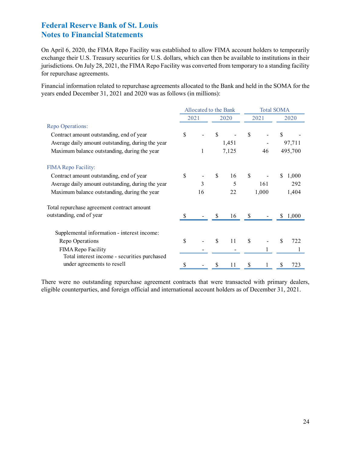### **Federal Reserve Bank of St. Louis Federal Statements**

for repurchase agreements. On April 6, 2020, the FIMA Repo Facility was established to allow FIMA account holders to temporarily exchange their U.S. Treasury securities for U.S. dollars, which can then be available to institutions in their jurisdictions. On July 28, 2021, the FIMA Repo Facility was converted from temporary to a standing facility

 years ended December 31, 2021 and 2020 was as follows (in millions): Financial information related to repurchase agreements allocated to the Bank and held in the SOMA for the

|                                                   |    | Allocated to the Bank |              |       | <b>Total SOMA</b> |       |    |         |  |  |
|---------------------------------------------------|----|-----------------------|--------------|-------|-------------------|-------|----|---------|--|--|
|                                                   |    | 2021                  |              | 2020  |                   | 2021  |    | 2020    |  |  |
| Repo Operations:                                  |    |                       |              |       |                   |       |    |         |  |  |
| Contract amount outstanding, end of year          | \$ |                       | \$           |       | \$                |       | \$ |         |  |  |
| Average daily amount outstanding, during the year |    |                       |              | 1,451 |                   |       |    | 97,711  |  |  |
| Maximum balance outstanding, during the year      |    | 1                     |              | 7,125 |                   | 46    |    | 495,700 |  |  |
| <b>FIMA Repo Facility:</b>                        |    |                       |              |       |                   |       |    |         |  |  |
| Contract amount outstanding, end of year          | \$ |                       | $\mathbb{S}$ | 16    | \$                |       | \$ | 1,000   |  |  |
| Average daily amount outstanding, during the year |    | 3                     |              | 5     |                   | 161   |    | 292     |  |  |
| Maximum balance outstanding, during the year      |    | 16                    |              | 22    |                   | 1,000 |    | 1,404   |  |  |
| Total repurchase agreement contract amount        |    |                       |              |       |                   |       |    |         |  |  |
| outstanding, end of year                          | -S |                       | S.           | 16    | \$                |       | S  | 1,000   |  |  |
| Supplemental information - interest income:       |    |                       |              |       |                   |       |    |         |  |  |
| Repo Operations                                   | \$ |                       | \$           | 11    | \$                |       | \$ | 722     |  |  |
| FIMA Repo Facility                                |    |                       |              |       |                   |       |    |         |  |  |
| Total interest income - securities purchased      |    |                       |              |       |                   |       |    |         |  |  |
| under agreements to resell                        |    |                       | \$           | 11    | \$                |       | \$ | 723     |  |  |

eligible counterparties, and foreign official and international account holders as of December 31, 2021. There were no outstanding repurchase agreement contracts that were transacted with primary dealers, eligible counterparties, and foreign official and international account holders as of December 31, 2021. 24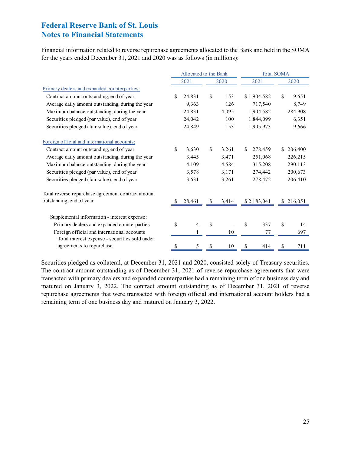for the years ended December 31, 2021 and 2020 was as follows (in millions): Financial information related to reverse repurchase agreements allocated to the Bank and held in the SOMA

|                                                    | Allocated to the Bank |             | <b>Total SOMA</b> |             |    |            |  |
|----------------------------------------------------|-----------------------|-------------|-------------------|-------------|----|------------|--|
|                                                    | 2021                  | 2020        |                   | 2021        |    | 2020       |  |
| Primary dealers and expanded counterparties:       |                       |             |                   |             |    |            |  |
| Contract amount outstanding, end of year           | \$<br>24,831          | \$<br>153   |                   | \$1,904,582 | \$ | 9,651      |  |
| Average daily amount outstanding, during the year  | 9,363                 | 126         |                   | 717,540     |    | 8,749      |  |
| Maximum balance outstanding, during the year       | 24,831                | 4,095       |                   | 1,904,582   |    | 284,908    |  |
| Securities pledged (par value), end of year        | 24,042                | 100         |                   | 1,844,099   |    | 6,351      |  |
| Securities pledged (fair value), end of year       | 24,849                | 153         |                   | 1,905,973   |    | 9,666      |  |
| Foreign official and international accounts:       |                       |             |                   |             |    |            |  |
| Contract amount outstanding, end of year           | \$<br>3,630           | \$<br>3,261 | S.                | 278,459     | S. | 206,400    |  |
| Average daily amount outstanding, during the year  | 3,445                 | 3,471       |                   | 251,068     |    | 226,215    |  |
| Maximum balance outstanding, during the year       | 4,109                 | 4,584       |                   | 315,208     |    | 290,113    |  |
| Securities pledged (par value), end of year        | 3,578                 | 3,171       |                   | 274,442     |    | 200,673    |  |
| Securities pledged (fair value), end of year       | 3,631                 | 3,261       |                   | 278,472     |    | 206,410    |  |
| Total reverse repurchase agreement contract amount |                       |             |                   |             |    |            |  |
| outstanding, end of year                           | \$<br>28,461          | \$<br>3,414 |                   | \$2,183,041 |    | \$ 216,051 |  |
| Supplemental information - interest expense:       |                       |             |                   |             |    |            |  |
| Primary dealers and expanded counterparties        | \$<br>4               | \$          | \$                | 337         | \$ | 14         |  |
| Foreign official and international accounts        | 1                     | 10          |                   | 77          |    | 697        |  |
| Total interest expense - securities sold under     |                       |             |                   |             |    |            |  |
| agreements to repurchase                           | \$<br>5               | \$<br>10    | \$                | 414         | \$ | 711        |  |

 Securities pledged as collateral, at December 31, 2021 and 2020, consisted solely of Treasury securities. transacted with primary dealers and expanded counterparties had a remaining term of one business day and matured on January 3, 2022. The contract amount outstanding as of December 31, 2021 of reverse The contract amount outstanding as of December 31, 2021 of reverse repurchase agreements that were repurchase agreements that were transacted with foreign official and international account holders had a remaining term of one business day and matured on January 3, 2022.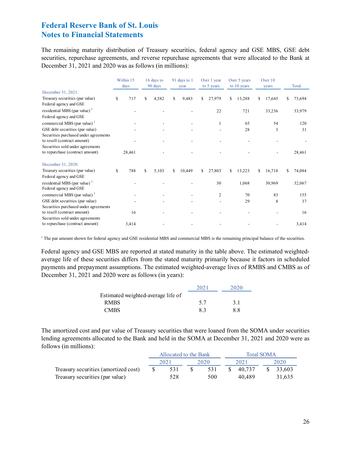December 31, 2021 and 2020 was as follows (in millions): The remaining maturity distribution of Treasury securities, federal agency and GSE MBS, GSE debt securities, repurchase agreements, and reverse repurchase agreements that were allocated to the Bank at

|                                                           | Within 15 |        |     | 16 days to |    | 91 days to 1 |    | Over 1 year |    | Over 5 years |   | Over 10 |    |        |
|-----------------------------------------------------------|-----------|--------|-----|------------|----|--------------|----|-------------|----|--------------|---|---------|----|--------|
|                                                           |           | days   |     | 90 days    |    | year         |    | to 5 years  |    | to 10 years  |   | years   |    | Total  |
| December 31, 2021:                                        |           |        |     |            |    |              |    |             |    |              |   |         |    |        |
| Treasury securities (par value)                           | S         | 717    | \$  | 4,582      | S  | 9,483        | S. | 27,979      | S  | 13,288       | S | 17,645  | \$ | 73,694 |
| Federal agency and GSE                                    |           |        |     |            |    |              |    |             |    |              |   |         |    |        |
| residential MBS (par value) $1$                           |           |        |     |            |    |              |    | 22          |    | 721          |   | 33,236  |    | 33,979 |
| Federal agency and GSE                                    |           |        |     |            |    |              |    |             |    |              |   |         |    |        |
| commercial MBS (par value) <sup>1</sup>                   |           |        |     |            |    |              |    |             |    | 65           |   | 54      |    | 120    |
| GSE debt securities (par value)                           |           |        |     |            |    |              |    |             |    | 28           |   | 3       |    | 31     |
| Securities purchased under agreements                     |           |        |     |            |    |              |    |             |    |              |   |         |    |        |
| to resell (contract amount)                               |           |        |     |            |    |              |    |             |    |              |   |         |    |        |
| Securities sold under agreements                          |           |        |     |            |    |              |    |             |    |              |   |         |    |        |
| to repurchase (contract amount)                           |           | 28,461 |     |            |    |              |    |             |    |              |   |         |    | 28,461 |
| December 31, 2020:                                        |           |        |     |            |    |              |    |             |    |              |   |         |    |        |
| Treasury securities (par value)                           | S         | 788    | \$. | 5,103      | S. | 10,449       | S. | 27,803      | S. | 13,223       | S | 16,718  | S  | 74,084 |
| Federal agency and GSE                                    |           |        |     |            |    |              |    |             |    |              |   |         |    |        |
| residential MBS (par value) $1$<br>Federal agency and GSE |           |        |     |            |    |              |    | 30          |    | 1,068        |   | 30,969  |    | 32,067 |
| commercial MBS (par value) <sup>1</sup>                   |           |        |     |            |    |              |    | 2           |    | 70           |   | 83      |    | 155    |
| GSE debt securities (par value)                           |           |        |     |            |    |              |    |             |    | 29           |   | 8       |    | 37     |
| Securities purchased under agreements                     |           |        |     |            |    |              |    |             |    |              |   |         |    |        |
| to resell (contract amount)                               |           | 16     |     |            |    |              |    |             |    |              |   |         |    | 16     |
| Securities sold under agreements                          |           |        |     |            |    |              |    |             |    |              |   |         |    |        |
| to repurchase (contract amount)                           |           | 3,414  |     |            |    |              |    |             |    |              |   |         |    | 3,414  |

1 The par amount shown for federal agency and GSE residential MBS and commercial MBS is the remaining principal balance of the securities.

 Federal agency and GSE MBS are reported at stated maturity in the table above. The estimated weighted- December 31, 2021 and 2020 were as follows (in years): average life of these securities differs from the stated maturity primarily because it factors in scheduled payments and prepayment assumptions. The estimated weighted-average lives of RMBS and CMBS as of

|                                    | 2021 | 2020 |
|------------------------------------|------|------|
| Estimated weighted-average life of |      |      |
| RMBS.                              | 5.7  | 3.1  |
| <b>CMRS</b>                        | 83   | 8.8  |

The amortized cost and par value of Treasury securities that were loaned from the SOMA under securities lending agreements allocated to the Bank and held in the SOMA at December 31, 2021 and 2020 were as follows (in millions):

|                                      | Allocated to the Bank |      | <b>Total SOMA</b> |           |      |           |
|--------------------------------------|-----------------------|------|-------------------|-----------|------|-----------|
|                                      | 2021                  | 2020 |                   | 2021      | 2020 |           |
| Treasury securities (amortized cost) | 531                   | 531  |                   | \$ 40.737 |      | \$ 33,603 |
| Treasury securities (par value)      | 528                   | 500  |                   | 40.489    |      | 31,635    |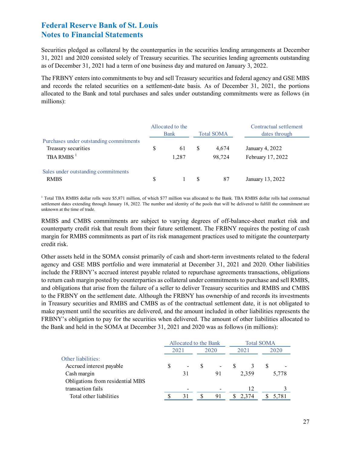Securities pledged as collateral by the counterparties in the securities lending arrangements at December 31, 2021 and 2020 consisted solely of Treasury securities. The securities lending agreements outstanding as of December 31, 2021 had a term of one business day and matured on January 3, 2022.

The FRBNY enters into commitments to buy and sell Treasury securities and federal agency and GSE MBS and records the related securities on a settlement-date basis. As of December 31, 2021, the portions allocated to the Bank and total purchases and sales under outstanding commitments were as follows (in millions):

|                                                                                |   | Allocated to the<br><b>Bank</b> |   | <b>Total SOMA</b> | Contractual settlement<br>dates through |
|--------------------------------------------------------------------------------|---|---------------------------------|---|-------------------|-----------------------------------------|
| Purchases under outstanding commitments<br>Treasury securities<br>TBA RMBS $1$ | S | 61<br>1,287                     | S | 4.674<br>98,724   | January 4, 2022<br>February 17, 2022    |
| Sales under outstanding commitments<br><b>RMBS</b>                             |   |                                 |   | 87                | January 13, 2022                        |

unknown at the time of trade. <sup>1</sup> Total TBA RMBS dollar rolls were \$5,871 million, of which \$77 million was allocated to the Bank. TBA RMBS dollar rolls had contractual settlement dates extending through January 18, 2022. The number and identity of the pools that will be delivered to fulfill the commitment are

RMBS and CMBS commitments are subject to varying degrees of off-balance-sheet market risk and counterparty credit risk that result from their future settlement. The FRBNY requires the posting of cash margin for RMBS commitments as part of its risk management practices used to mitigate the counterparty credit risk.

 agency and GSE MBS portfolio and were immaterial at December 31, 2021 and 2020. Other liabilities FRBNY's obligation to pay for the securities when delivered. The amount of other liabilities allocated to the Bank and held in the SOMA at December 31, 2021 and 2020 was as follows (in millions): Other assets held in the SOMA consist primarily of cash and short-term investments related to the federal include the FRBNY's accrued interest payable related to repurchase agreements transactions, obligations to return cash margin posted by counterparties as collateral under commitments to purchase and sell RMBS, and obligations that arise from the failure of a seller to deliver Treasury securities and RMBS and CMBS to the FRBNY on the settlement date. Although the FRBNY has ownership of and records its investments in Treasury securities and RMBS and CMBS as of the contractual settlement date, it is not obligated to make payment until the securities are delivered, and the amount included in other liabilities represents the

|                                  |      | Allocated to the Bank    |      |                          |      | <b>Total SOMA</b> |  |       |
|----------------------------------|------|--------------------------|------|--------------------------|------|-------------------|--|-------|
|                                  | 2021 |                          | 2020 |                          | 2021 |                   |  | 2020  |
| Other liabilities:               |      |                          |      |                          |      |                   |  |       |
| Accrued interest payable         |      | $\overline{\phantom{a}}$ |      | $\overline{\phantom{a}}$ |      |                   |  |       |
| Cash margin                      |      | 31                       |      | 91                       |      | 2.359             |  | 5.778 |
| Obligations from residential MBS |      |                          |      |                          |      |                   |  |       |
| transaction fails                |      |                          |      |                          |      | 12                |  |       |
| Total other liabilities          |      | 31                       |      | 91                       | S    | 2.374             |  | 5,781 |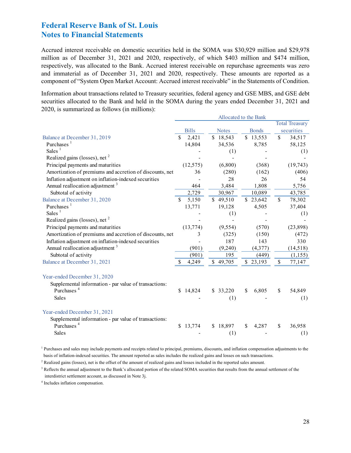Accrued interest receivable on domestic securities held in the SOMA was \$30,929 million and \$29,978 million as of December 31, 2021 and 2020, respectively, of which \$403 million and \$474 million, respectively, was allocated to the Bank. Accrued interest receivable on repurchase agreements was zero and immaterial as of December 31, 2021 and 2020, respectively. These amounts are reported as a component of "System Open Market Account: Accrued interest receivable" in the Statements of Condition.

2020, is summarized as follows (in millions):<br>Allocated to the Bank Information about transactions related to Treasury securities, federal agency and GSE MBS, and GSE debt securities allocated to the Bank and held in the SOMA during the years ended December 31, 2021 and

|                                                          | Allocated to the Bank |              |              |    |                       |  |  |  |  |  |
|----------------------------------------------------------|-----------------------|--------------|--------------|----|-----------------------|--|--|--|--|--|
|                                                          |                       |              |              |    | <b>Total Treasury</b> |  |  |  |  |  |
|                                                          | <b>Bills</b>          | <b>Notes</b> | <b>Bonds</b> |    | securities            |  |  |  |  |  |
| Balance at December 31, 2019                             | 2,421<br>S            | \$18,543     | \$13,553     | \$ | 34,517                |  |  |  |  |  |
| Purchases <sup>1</sup>                                   | 14,804                | 34,536       | 8,785        |    | 58,125                |  |  |  |  |  |
| Sales $1$                                                |                       | (1)          |              |    | (1)                   |  |  |  |  |  |
| Realized gains (losses), net <sup>2</sup>                |                       |              |              |    |                       |  |  |  |  |  |
| Principal payments and maturities                        | (12, 575)             | (6,800)      | (368)        |    | (19, 743)             |  |  |  |  |  |
| Amortization of premiums and accretion of discounts, net | 36                    | (280)        | (162)        |    | (406)                 |  |  |  |  |  |
| Inflation adjustment on inflation-indexed securities     |                       | 28           | 26           |    | 54                    |  |  |  |  |  |
| Annual reallocation adjustment <sup>3</sup>              | 464                   | 3,484        | 1,808        |    | 5,756                 |  |  |  |  |  |
| Subtotal of activity                                     | 2,729                 | 30,967       | 10,089       |    | 43,785                |  |  |  |  |  |
| Balance at December 31, 2020                             | \$<br>5,150           | \$49,510     | \$23,642     | \$ | 78,302                |  |  |  |  |  |
| Purchases <sup>1</sup>                                   | 13,771                | 19,128       | 4,505        |    | 37,404                |  |  |  |  |  |
| Sales $1$                                                |                       | (1)          |              |    | (1)                   |  |  |  |  |  |
| Realized gains (losses), net <sup>2</sup>                |                       |              |              |    |                       |  |  |  |  |  |
| Principal payments and maturities                        | (13, 774)             | (9, 554)     | (570)        |    | (23,898)              |  |  |  |  |  |
| Amortization of premiums and accretion of discounts, net | 3                     | (325)        | (150)        |    | (472)                 |  |  |  |  |  |
| Inflation adjustment on inflation-indexed securities     |                       | 187          | 143          |    | 330                   |  |  |  |  |  |
| Annual reallocation adjustment <sup>3</sup>              | (901)                 | (9,240)      | (4,377)      |    | (14,518)              |  |  |  |  |  |
| Subtotal of activity                                     | (901)                 | 195          | (449)        |    | (1, 155)              |  |  |  |  |  |
| Balance at December 31, 2021                             | 4,249                 | \$49,705     | \$23,193     | \$ | 77,147                |  |  |  |  |  |
| Year-ended December 31, 2020                             |                       |              |              |    |                       |  |  |  |  |  |
| Supplemental information - par value of transactions:    |                       |              |              |    |                       |  |  |  |  |  |
| Purchases <sup>4</sup>                                   | \$14,824              | \$33,220     | 6,805<br>\$  | \$ | 54,849                |  |  |  |  |  |
| Sales                                                    |                       | (1)          |              |    | (1)                   |  |  |  |  |  |
| Year-ended December 31, 2021                             |                       |              |              |    |                       |  |  |  |  |  |
| Supplemental information - par value of transactions:    |                       |              |              |    |                       |  |  |  |  |  |
| Purchases <sup>4</sup>                                   | \$13,774              | \$18,897     | 4,287<br>S   | \$ | 36,958                |  |  |  |  |  |
| Sales                                                    |                       | (1)          |              |    | (1)                   |  |  |  |  |  |

<sup>1</sup> Purchases and sales may include payments and receipts related to principal, premiums, discounts, and inflation compensation adjustments to the basis of inflation-indexed securities. The amount reported as sales includes the realized gains and losses on such transactions.

<sup>2</sup> Realized gains (losses), net is the offset of the amount of realized gains and losses included in the reported sales amount.

<sup>3</sup> Reflects the annual adjustment to the Bank's allocated portion of the related SOMA securities that results from the annual settlement of the interdistrict settlement account, as discussed in Note 3j.

4 Includes inflation compensation.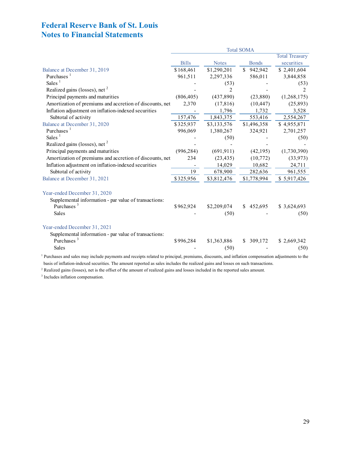|                                                          |              |              | <b>Total SOMA</b> |                       |
|----------------------------------------------------------|--------------|--------------|-------------------|-----------------------|
|                                                          |              |              |                   | <b>Total Treasury</b> |
|                                                          | <b>Bills</b> | <b>Notes</b> | <b>Bonds</b>      | securities            |
| Balance at December 31, 2019                             | \$168,461    | \$1,290,201  | 942,942<br>\$     | \$2,401,604           |
| Purchases <sup>1</sup>                                   | 961,511      | 2,297,336    | 586,011           | 3,844,858             |
| Sales <sup>1</sup>                                       |              | (53)         |                   | (53)                  |
| Realized gains (losses), net <sup>2</sup>                |              | 2            |                   | 2                     |
| Principal payments and maturities                        | (806, 405)   | (437,890)    | (23,880)          | (1,268,175)           |
| Amortization of premiums and accretion of discounts, net | 2,370        | (17,816)     | (10, 447)         | (25,893)              |
| Inflation adjustment on inflation-indexed securities     |              | 1,796        | 1,732             | 3,528                 |
| Subtotal of activity                                     | 157,476      | 1,843,375    | 553,416           | 2,554,267             |
| Balance at December 31, 2020                             | \$325,937    | \$3,133,576  | \$1,496,358       | \$4,955,871           |
| Purchases <sup>1</sup>                                   | 996,069      | 1,380,267    | 324,921           | 2,701,257             |
| Sales $1$                                                |              | (50)         |                   | (50)                  |
| Realized gains (losses), net <sup>2</sup>                |              |              |                   |                       |
| Principal payments and maturities                        | (996, 284)   | (691, 911)   | (42, 195)         | (1,730,390)           |
| Amortization of premiums and accretion of discounts, net | 234          | (23, 435)    | (10,772)          | (33, 973)             |
| Inflation adjustment on inflation-indexed securities     |              | 14,029       | 10,682            | 24,711                |
| Subtotal of activity                                     | 19           | 678,900      | 282,636           | 961,555               |
| Balance at December 31, 2021                             | \$325,956    | \$3,812,476  | \$1,778,994       | \$5,917,426           |
| Year-ended December 31, 2020                             |              |              |                   |                       |
| Supplemental information - par value of transactions:    |              |              |                   |                       |
| Purchases <sup>3</sup>                                   | \$962,924    | \$2,209,074  | 452,695<br>S.     | \$3,624,693           |
| Sales                                                    |              | (50)         |                   | (50)                  |
| Year-ended December 31, 2021                             |              |              |                   |                       |
| Supplemental information - par value of transactions:    |              |              |                   |                       |
| Purchases <sup>3</sup>                                   | \$996,284    | \$1,363,886  | 309,172<br>S.     | \$2,669,342           |
| Sales                                                    |              | (50)         |                   | (50)                  |

<sup>1</sup> Purchases and sales may include payments and receipts related to principal, premiums, discounts, and inflation compensation adjustments to the basis of inflation-indexed securities. The amount reported as sales includes the realized gains and losses on such transactions.

<sup>2</sup> Realized gains (losses), net is the offset of the amount of realized gains and losses included in the reported sales amount.

<sup>3</sup> Includes inflation compensation.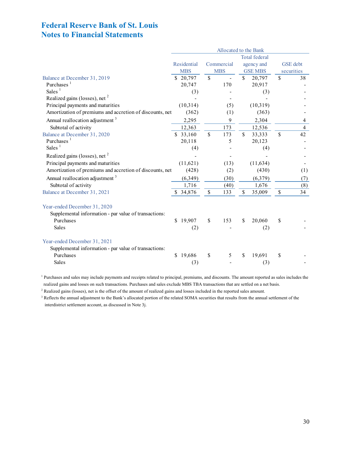|                                                          |             |               | Allocated to the Bank |                |                      |              |                 |
|----------------------------------------------------------|-------------|---------------|-----------------------|----------------|----------------------|--------------|-----------------|
|                                                          |             |               |                       |                | <b>Total federal</b> |              |                 |
|                                                          | Residential | Commercial    |                       |                | agency and           |              | <b>GSE</b> debt |
|                                                          | <b>MBS</b>  |               | <b>MBS</b>            | <b>GSE MBS</b> |                      |              | securities      |
| Balance at December 31, 2019                             | \$20,797    | $\mathcal{S}$ |                       | \$             | 20,797               | \$           | 38              |
| Purchases <sup>1</sup>                                   | 20,747      |               | 170                   |                | 20,917               |              |                 |
| Sales <sup>1</sup>                                       | (3)         |               |                       |                | (3)                  |              |                 |
| Realized gains (losses), net <sup>2</sup>                |             |               |                       |                |                      |              |                 |
| Principal payments and maturities                        | (10,314)    |               | (5)                   |                | (10,319)             |              |                 |
| Amortization of premiums and accretion of discounts, net | (362)       |               | (1)                   |                | (363)                |              |                 |
| Annual reallocation adjustment <sup>3</sup>              | 2,295       |               | 9                     |                | 2,304                |              | 4               |
| Subtotal of activity                                     | 12,363      |               | 173                   |                | 12,536               |              | $\overline{4}$  |
| Balance at December 31, 2020                             | \$33,160    | \$            | 173                   | \$.            | 33,333               | \$           | 42              |
| Purchases $1$                                            | 20,118      |               | 5                     |                | 20,123               |              |                 |
| Sales $1$                                                | (4)         |               |                       |                | (4)                  |              |                 |
| Realized gains (losses), net <sup>2</sup>                |             |               |                       |                |                      |              |                 |
| Principal payments and maturities                        | (11,621)    |               | (13)                  |                | (11, 634)            |              |                 |
| Amortization of premiums and accretion of discounts, net | (428)       |               | (2)                   |                | (430)                |              | (1)             |
| Annual reallocation adjustment <sup>3</sup>              | (6,349)     |               | (30)                  |                | (6,379)              |              | (7)             |
| Subtotal of activity                                     | 1,716       |               | (40)                  |                | 1,676                |              | (8)             |
| Balance at December 31, 2021                             | \$ 34,876   | $\$$          | 133                   | \$             | 35,009               | $\mathbb{S}$ | 34              |
| Year-ended December 31, 2020                             |             |               |                       |                |                      |              |                 |
| Supplemental information - par value of transactions:    |             |               |                       |                |                      |              |                 |
| Purchases                                                | \$19,907    | $\mathcal{S}$ | 153                   | \$             | 20,060               | \$           |                 |
| Sales                                                    | (2)         |               |                       |                | (2)                  |              |                 |
| Year-ended December 31, 2021                             |             |               |                       |                |                      |              |                 |
| Supplemental information - par value of transactions:    |             |               |                       |                |                      |              |                 |
| Purchases                                                | \$19,686    | \$            | 5                     | \$             | 19,691               | \$           |                 |
| Sales                                                    | (3)         |               |                       |                | (3)                  |              |                 |
|                                                          |             |               |                       |                |                      |              |                 |

<sup>1</sup> Purchases and sales may include payments and receipts related to principal, premiums, and discounts. The amount reported as sales includes the realized gains and losses on such transactions. Purchases and sales exclude MBS TBA transactions that are settled on a net basis.

<sup>2</sup> Realized gains (losses), net is the offset of the amount of realized gains and losses included in the reported sales amount.

<sup>3</sup> Reflects the annual adjustment to the Bank's allocated portion of the related SOMA securities that results from the annual settlement of the interdistrict settlement account, as discussed in Note 3j.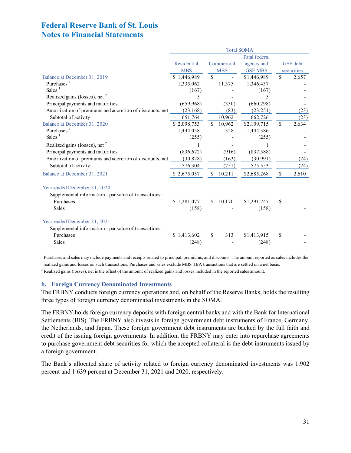|                                                          |             |               |            | <b>Total SOMA</b>    |              |            |
|----------------------------------------------------------|-------------|---------------|------------|----------------------|--------------|------------|
|                                                          |             |               |            | <b>Total federal</b> |              |            |
|                                                          | Residential |               | Commercial | agency and           |              | GSE debt   |
|                                                          | <b>MBS</b>  |               | <b>MBS</b> | <b>GSE MBS</b>       |              | securities |
| Balance at December 31, 2019                             | \$1,446,989 | $\mathbb{S}$  |            | \$1,446,989          | $\mathbb{S}$ | 2,657      |
| Purchases <sup>1</sup>                                   | 1,335,062   |               | 11,375     | 1,346,437            |              |            |
| Sales <sup>1</sup>                                       | (167)       |               |            | (167)                |              |            |
| Realized gains (losses), net <sup>2</sup>                | 5           |               |            | 5                    |              |            |
| Principal payments and maturities                        | (659,968)   |               | (330)      | (660, 298)           |              |            |
| Amortization of premiums and accretion of discounts, net | (23, 168)   |               | (83)       | (23,251)             |              | (23)       |
| Subtotal of activity                                     | 651,764     |               | 10,962     | 662,726              |              | (23)       |
| Balance at December 31, 2020                             | \$2,098,753 | \$            | 10,962     | \$2,109,715          | $\mathbb{S}$ | 2,634      |
| Purchases <sup>1</sup>                                   | 1,444,058   |               | 328        | 1,444,386            |              |            |
| Sales <sup>1</sup>                                       | (255)       |               |            | (255)                |              |            |
| Realized gains (losses), net <sup>2</sup>                |             |               |            |                      |              |            |
| Principal payments and maturities                        | (836, 672)  |               | (916)      | (837,588)            |              |            |
| Amortization of premiums and accretion of discounts, net | (30, 828)   |               | (163)      | (30,991)             |              | (24)       |
| Subtotal of activity                                     | 576,304     |               | (751)      | 575,553              |              | (24)       |
| Balance at December 31, 2021                             | \$2,675,057 | <sup>\$</sup> | 10,211     | \$2,685,268          | \$           | 2,610      |
| Year-ended December 31, 2020                             |             |               |            |                      |              |            |
| Supplemental information - par value of transactions:    |             |               |            |                      |              |            |
| Purchases                                                | \$1,281,077 | \$            | 10,170     | \$1,291,247          | \$           |            |
| Sales                                                    | (158)       |               |            | (158)                |              |            |
| Year-ended December 31, 2021                             |             |               |            |                      |              |            |
| Supplemental information - par value of transactions:    |             |               |            |                      |              |            |
| Purchases                                                | \$1,413,602 | \$            | 313        | \$1,413,915          | \$           |            |
| Sales                                                    | (248)       |               |            | (248)                |              |            |
|                                                          |             |               |            |                      |              |            |

<sup>1</sup> Purchases and sales may include payments and receipts related to principal, premiums, and discounts. The amount reported as sales includes the realized gains and losses on such transactions. Purchases and sales exclude MBS TBA transactions that are settled on a net basis.

<sup>2</sup> Realized gains (losses), net is the offset of the amount of realized gains and losses included in the reported sales amount.

#### **b. Foreign Currency Denominated Investments**

 The FRBNY conducts foreign currency operations and, on behalf of the Reserve Banks, holds the resulting three types of foreign currency denominated investments in the SOMA.

 The FRBNY holds foreign currency deposits with foreign central banks and with the Bank for International to purchase government debt securities for which the accepted collateral is the debt instruments issued by Settlements (BIS). The FRBNY also invests in foreign government debt instruments of France, Germany, the Netherlands, and Japan. These foreign government debt instruments are backed by the full faith and credit of the issuing foreign governments. In addition, the FRBNY may enter into repurchase agreements a foreign government.

 The Bank's allocated share of activity related to foreign currency denominated investments was 1.902 percent and 1.639 percent at December 31, 2021 and 2020, respectively.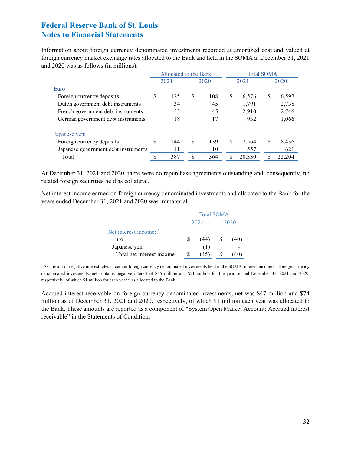Information about foreign currency denominated investments recorded at amortized cost and valued at foreign currency market exchange rates allocated to the Bank and held in the SOMA at December 31, 2021 and 2020 was as follows (in millions):

|                                      |    | Allocated to the Bank |   |      | <b>Total SOMA</b> |        |    |        |  |  |
|--------------------------------------|----|-----------------------|---|------|-------------------|--------|----|--------|--|--|
|                                      |    | 2021                  |   | 2020 |                   | 2021   |    | 2020   |  |  |
| Euro:                                |    |                       |   |      |                   |        |    |        |  |  |
| Foreign currency deposits            | \$ | 125                   | S | 108  | S                 | 6.576  | \$ | 6,597  |  |  |
| Dutch government debt instruments    |    | 34                    |   | 45   |                   | 1,791  |    | 2,738  |  |  |
| French government debt instruments   |    | 55                    |   | 45   |                   | 2.910  |    | 2,746  |  |  |
| German government debt instruments   |    | 18                    |   | 17   |                   | 932    |    | 1,066  |  |  |
| Japanese yen:                        |    |                       |   |      |                   |        |    |        |  |  |
| Foreign currency deposits            | S  | 144                   | S | 139  | S                 | 7,564  | \$ | 8,436  |  |  |
| Japanese government debt instruments |    | 11                    |   | 10   |                   | 557    |    | 621    |  |  |
| Total                                |    | 387                   | S | 364  | \$                | 20,330 | \$ | 22,204 |  |  |

At December 31, 2021 and 2020, there were no repurchase agreements outstanding and, consequently, no related foreign securities held as collateral.

 Net interest income earned on foreign currency denominated investments and allocated to the Bank for the years ended December 31, 2021 and 2020 was immaterial.

|                                    | <b>Total SOMA</b> |      |    |      |  |  |  |  |  |
|------------------------------------|-------------------|------|----|------|--|--|--|--|--|
|                                    |                   | 2021 |    | 2020 |  |  |  |  |  |
| Net interest income: $\frac{1}{1}$ |                   |      |    |      |  |  |  |  |  |
| Euro                               |                   | (44) | -S | (40) |  |  |  |  |  |
| Japanese yen                       |                   |      |    |      |  |  |  |  |  |
| Total net interest income          |                   | 45   |    |      |  |  |  |  |  |

 respectively, of which \$1 million for each year was allocated to the Bank. <sup>1</sup> As a result of negative interest rates in certain foreign currency denominated investments held in the SOMA, interest income on foreign currency denominated investments, net contains negative interest of \$55 million and \$51 million for the years ended December 31, 2021 and 2020,

Accrued interest receivable on foreign currency denominated investments, net was \$47 million and \$74 million as of December 31, 2021 and 2020, respectively, of which \$1 million each year was allocated to the Bank. These amounts are reported as a component of "System Open Market Account: Accrued interest receivable" in the Statements of Condition.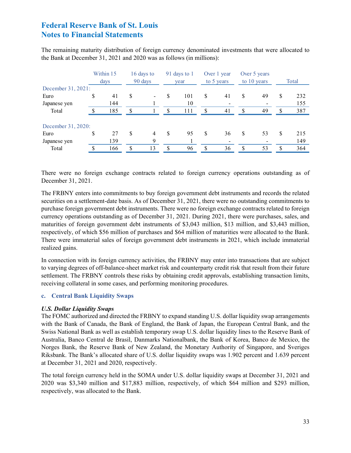the Bank at December 31, 2021 and 2020 was as follows (in millions): The remaining maturity distribution of foreign currency denominated investments that were allocated to

|                    | Within 15 |    | 16 days to     |    | 91 days to 1 |            | Over 1 year |               | Over 5 years |       |     |
|--------------------|-----------|----|----------------|----|--------------|------------|-------------|---------------|--------------|-------|-----|
|                    | days      |    | 90 days        |    | year         | to 5 years |             | to $10$ years |              | Total |     |
| December 31, 2021: |           |    |                |    |              |            |             |               |              |       |     |
| Euro               | \$<br>41  | \$ | $\blacksquare$ | \$ | 101          | \$         | 41          | \$            | 49           | S     | 232 |
| Japanese yen       | 144       |    |                |    | 10           |            |             |               |              |       | 155 |
| Total              | \$<br>185 | \$ |                | S  | 111          | S          | 41          | S             | 49           | S     | 387 |
| December 31, 2020: |           |    |                |    |              |            |             |               |              |       |     |
| Euro               | \$<br>27  | S  | $\overline{4}$ | \$ | 95           | S          | 36          | S             | 53           | S     | 215 |
| Japanese yen       | 139       |    | Q              |    |              |            |             |               |              |       | 149 |
| Total              | \$<br>166 | S  | 13             | \$ | 96           | \$         | 36          | \$            | 53           | \$.   | 364 |

There were no foreign exchange contracts related to foreign currency operations outstanding as of December 31, 2021.

 maturities of foreign government debt instruments of \$3,043 million, \$13 million, and \$3,443 million, respectively, of which \$56 million of purchases and \$64 million of maturities were allocated to the Bank. There were immaterial sales of foreign government debt instruments in 2021, which include immaterial realized gains. The FRBNY enters into commitments to buy foreign government debt instruments and records the related securities on a settlement-date basis. As of December 31, 2021, there were no outstanding commitments to purchase foreign government debt instruments. There were no foreign exchange contracts related to foreign currency operations outstanding as of December 31, 2021. During 2021, there were purchases, sales, and

 to varying degrees of off-balance-sheet market risk and counterparty credit risk that result from their future In connection with its foreign currency activities, the FRBNY may enter into transactions that are subject settlement. The FRBNY controls these risks by obtaining credit approvals, establishing transaction limits, receiving collateral in some cases, and performing monitoring procedures.

#### **c. Central Bank Liquidity Swaps**

#### *U.S. Dollar Liquidity Swaps*

 The FOMC authorized and directed the FRBNY to expand standing U.S. dollar liquidity swap arrangements at December 31, 2021 and 2020, respectively. with the Bank of Canada, the Bank of England, the Bank of Japan, the European Central Bank, and the Swiss National Bank as well as establish temporary swap U.S. dollar liquidity lines to the Reserve Bank of Australia, Banco Central de Brasil, Danmarks Nationalbank, the Bank of Korea, Banco de Mexico, the Norges Bank, the Reserve Bank of New Zealand, the Monetary Authority of Singapore, and Sveriges Riksbank. The Bank's allocated share of U.S. dollar liquidity swaps was 1.902 percent and 1.639 percent

 2020 was \$3,340 million and \$17,883 million, respectively, of which \$64 million and \$293 million, The total foreign currency held in the SOMA under U.S. dollar liquidity swaps at December 31, 2021 and respectively, was allocated to the Bank.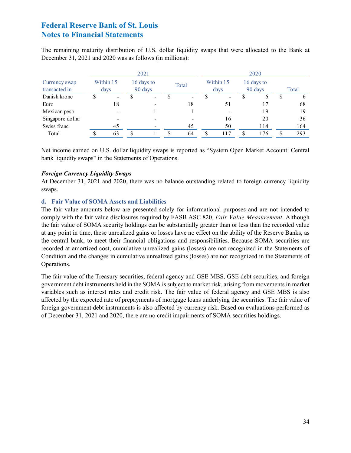December 31, 2021 and 2020 was as follows (in millions): The remaining maturity distribution of U.S. dollar liquidity swaps that were allocated to the Bank at

|                                |                   |    |                       | 2021 |       |    |                   |                              | 2020                  |     |  |       |
|--------------------------------|-------------------|----|-----------------------|------|-------|----|-------------------|------------------------------|-----------------------|-----|--|-------|
| Currency swap<br>transacted in | Within 15<br>days |    | 16 days to<br>90 days |      | Total |    | Within 15<br>days |                              | 16 days to<br>90 days |     |  | Total |
| Danish krone                   |                   | -  |                       | $\,$ |       |    |                   | $\qquad \qquad \blacksquare$ |                       | h   |  |       |
| Euro                           |                   | 18 |                       |      |       | 18 |                   | 51                           |                       | 17  |  | 68    |
| Mexican peso                   |                   |    |                       |      |       |    |                   |                              |                       | 19  |  | 19    |
| Singapore dollar               |                   |    |                       |      |       |    |                   | 16                           |                       | 20  |  | 36    |
| Swiss franc                    |                   | 45 |                       |      |       | 45 |                   | 50                           |                       | 114 |  | 164   |
| Total                          |                   | 63 |                       |      |       | 64 |                   | 117                          |                       | 176 |  | 293   |

 Net income earned on U.S. dollar liquidity swaps is reported as "System Open Market Account: Central bank liquidity swaps" in the Statements of Operations.

#### *Foreign Currency Liquidity Swaps*

 At December 31, 2021 and 2020, there was no balance outstanding related to foreign currency liquidity swaps.

#### **d. Fair Value of SOMA Assets and Liabilities**

 The fair value amounts below are presented solely for informational purposes and are not intended to the central bank, to meet their financial obligations and responsibilities. Because SOMA securities are Condition and the changes in cumulative unrealized gains (losses) are not recognized in the Statements of comply with the fair value disclosures required by FASB ASC 820, *Fair Value Measurement*. Although the fair value of SOMA security holdings can be substantially greater than or less than the recorded value at any point in time, these unrealized gains or losses have no effect on the ability of the Reserve Banks, as recorded at amortized cost, cumulative unrealized gains (losses) are not recognized in the Statements of Operations.

 government debt instruments held in the SOMA is subject to market risk, arising from movements in market variables such as interest rates and credit risk. The fair value of federal agency and GSE MBS is also foreign government debt instruments is also affected by currency risk. Based on evaluations performed as The fair value of the Treasury securities, federal agency and GSE MBS, GSE debt securities, and foreign affected by the expected rate of prepayments of mortgage loans underlying the securities. The fair value of of December 31, 2021 and 2020, there are no credit impairments of SOMA securities holdings.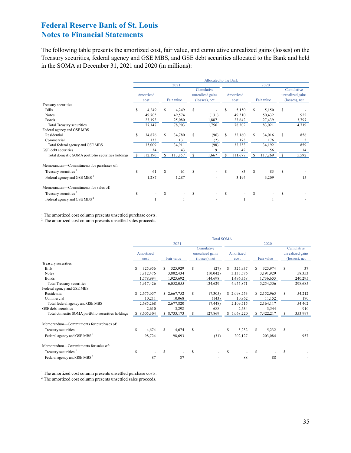### **Federal Reserve Bank of St. Louis Federal Statements**

 in the SOMA at December 31, 2021 and 2020 (in millions): The following table presents the amortized cost, fair value, and cumulative unrealized gains (losses) on the Treasury securities, federal agency and GSE MBS, and GSE debt securities allocated to the Bank and held

|                                                   | Allocated to the Bank |           |    |            |    |                  |    |           |             |            |    |                  |
|---------------------------------------------------|-----------------------|-----------|----|------------|----|------------------|----|-----------|-------------|------------|----|------------------|
|                                                   |                       |           |    | 2021       |    |                  |    |           |             | 2020       |    |                  |
|                                                   |                       |           |    |            |    | Cumulative       |    |           |             |            |    | Cumulative       |
|                                                   |                       | Amortized |    |            |    | unrealized gains |    | Amortized |             |            |    | unrealized gains |
|                                                   |                       | cost      |    | Fair value |    | (losses), net    |    | cost      |             | Fair value |    | (losses), net    |
| Treasury securities                               |                       |           |    |            |    |                  |    |           |             |            |    |                  |
| <b>Bills</b>                                      | \$                    | 4,249     | S  | 4,249      | S  |                  | S  | 5,150     | S           | 5,150      | \$ |                  |
| Notes                                             |                       | 49,705    |    | 49,574     |    | (131)            |    | 49,510    |             | 50,432     |    | 922              |
| Bonds                                             |                       | 23,193    |    | 25,080     |    | 1,887            |    | 23,642    |             | 27,439     |    | 3,797            |
| Total Treasury securities                         |                       | 77,147    |    | 78,903     |    | 1,756            |    | 78,302    |             | 83,021     |    | 4,719            |
| Federal agency and GSE MBS                        |                       |           |    |            |    |                  |    |           |             |            |    |                  |
| Residential                                       | \$                    | 34,876    | S  | 34,780     | S  | (96)             | S  | 33,160    | S           | 34,016     | \$ | 856              |
| Commercial                                        |                       | 133       |    | 131        |    | (2)              |    | 173       |             | 176        |    | 3                |
| Total federal agency and GSE MBS                  |                       | 35,009    |    | 34,911     |    | (98)             |    | 33,333    |             | 34,192     |    | 859              |
| GSE debt securities                               |                       | 34        |    | 43         |    | 9                |    | 42        |             | 56         |    | 14               |
| Total domestic SOMA portfolio securities holdings | \$.                   | 112,190   | \$ | 113,857    | \$ | 1,667            | \$ | 111,677   | s           | 117,269    | S  | 5,592            |
| Memorandum-Commitments for purchases of:          |                       |           |    |            |    |                  |    |           |             |            |    |                  |
| Treasury securities <sup>1</sup>                  | \$                    | 61        | S  | 61         | S  |                  | S  | 83        | $\mathbf S$ | 83         | \$ |                  |
| Federal agency and GSE MBS <sup>1</sup>           |                       | 1,287     |    | 1,287      |    |                  |    | 3,194     |             | 3,209      |    | 15               |
| Memorandum—Commitments for sales of:              |                       |           |    |            |    |                  |    |           |             |            |    |                  |
| Treasury securities <sup>2</sup>                  | \$                    |           | S  |            | S  |                  | S  |           | \$          |            | S  |                  |
| Federal agency and GSE MBS <sup>2</sup>           |                       |           |    |            |    |                  |    |           |             |            |    |                  |

 $^\mathrm{l}$  The amortized cost column presents unsettled purchase costs.

 $1$  The amortized cost column presents unsettled sales proceeds.

|                                                   | <b>Total SOMA</b> |              |            |              |    |                  |     |             |     |             |                  |                         |
|---------------------------------------------------|-------------------|--------------|------------|--------------|----|------------------|-----|-------------|-----|-------------|------------------|-------------------------|
|                                                   |                   |              |            | 2021         |    |                  |     |             |     | 2020        |                  |                         |
|                                                   |                   |              | Cumulative |              |    |                  |     |             |     | Cumulative  |                  |                         |
|                                                   |                   | Amortized    |            |              |    | unrealized gains |     | Amortized   |     |             | unrealized gains |                         |
|                                                   |                   | cost         |            | Fair value   |    | (losses), net    |     | cost        |     | Fair value  |                  | $(\text{losses})$ , net |
| Treasury securities                               |                   |              |            |              |    |                  |     |             |     |             |                  |                         |
| <b>Bills</b>                                      | s                 | 325,956      | \$         | 325,929      | S  | (27)             |     | 325,937     | S   | 325,974     | \$               | 37                      |
| Notes                                             |                   | 3,812,476    |            | 3,802,434    |    | (10,042)         |     | 3,133,576   |     | 3,191,929   |                  | 58,353                  |
| Bonds                                             |                   | 1,778,994    |            | 1,923,692    |    | 144,698          |     | 1,496,358   |     | 1,736,653   |                  | 240,295                 |
| Total Treasury securities                         |                   | 5,917,426    |            | 6,052,055    |    | 134,629          |     | 4,955,871   |     | 5,254,556   |                  | 298,685                 |
| Federal agency and GSE MBS                        |                   |              |            |              |    |                  |     |             |     |             |                  |                         |
| Residential                                       |                   | \$2,675,057  |            | \$2,667,752  | \$ | (7,305)          |     | \$2,098,753 |     | \$2,152,965 | S                | 54,212                  |
| Commercial                                        |                   | 10,211       |            | 10,068       |    | (143)            |     | 10,962      |     | 11,152      |                  | 190                     |
| Total federal agency and GSE MBS                  |                   | 2,685,268    |            | 2,677,820    |    | (7, 448)         |     | 2,109,715   |     | 2,164,117   |                  | 54,402                  |
| GSE debt securities                               |                   | 2,610        |            | 3,298        |    | 688              |     | 2,634       |     | 3,544       |                  | 910                     |
| Total domestic SOMA portfolio securities holdings |                   | \$ 8,605,304 |            | \$ 8,733,173 | \$ | 127,869          |     | \$7,068,220 |     | \$7,422,217 | S                | 353,997                 |
| Memorandum-Commitments for purchases of:          |                   |              |            |              |    |                  |     |             |     |             |                  |                         |
| Treasury securities <sup>1</sup>                  | S                 | 4,674        | \$         | 4,674        | S  | ٠                | \$. | 5,232       | S   | 5,232       | S                |                         |
| Federal agency and GSE MBS <sup>1</sup>           |                   | 98,724       |            | 98,693       |    | (31)             |     | 202,127     |     | 203,084     |                  | 957                     |
| Memorandum—Commitments for sales of:              |                   |              |            |              |    |                  |     |             |     |             |                  |                         |
| Treasury securities <sup>2</sup>                  | S                 |              | \$         |              | \$ |                  | \$. |             | \$. |             | \$               |                         |
| Federal agency and GSE MBS <sup>2</sup>           |                   | 87           |            | 87           |    |                  |     | 88          |     | 88          |                  |                         |

 $^{\rm l}$  The amortized cost column presents unsettled purchase costs.

 $1$  The amortized cost column presents unsettled sales proceeds.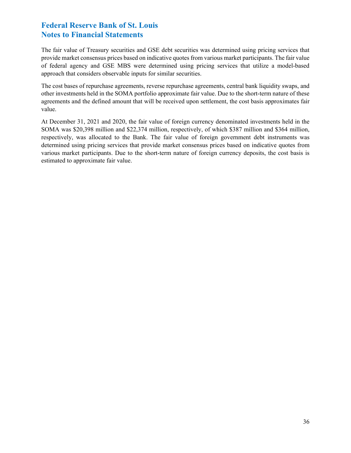The fair value of Treasury securities and GSE debt securities was determined using pricing services that of federal agency and GSE MBS were determined using pricing services that utilize a model-based provide market consensus prices based on indicative quotes from various market participants. The fair value approach that considers observable inputs for similar securities.

 The cost bases of repurchase agreements, reverse repurchase agreements, central bank liquidity swaps, and other investments held in the SOMA portfolio approximate fair value. Due to the short-term nature of these agreements and the defined amount that will be received upon settlement, the cost basis approximates fair value.

At December 31, 2021 and 2020, the fair value of foreign currency denominated investments held in the SOMA was \$20,398 million and \$22,374 million, respectively, of which \$387 million and \$364 million, respectively, was allocated to the Bank. The fair value of foreign government debt instruments was determined using pricing services that provide market consensus prices based on indicative quotes from various market participants. Due to the short-term nature of foreign currency deposits, the cost basis is estimated to approximate fair value.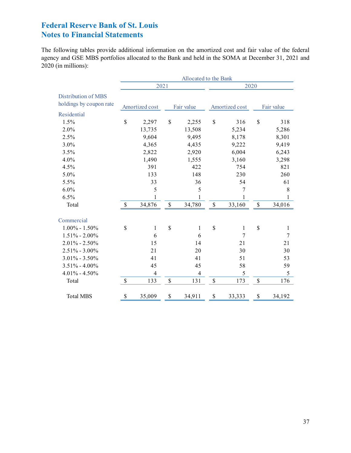### **Federal Reserve Bank of St. Louis Federal Statements**

 The following tables provide additional information on the amortized cost and fair value of the federal agency and GSE MBS portfolios allocated to the Bank and held in the SOMA at December 31, 2021 and 2020 (in millions):

|                         |               | Allocated to the Bank |    |              |               |                |               |        |  |  |  |  |
|-------------------------|---------------|-----------------------|----|--------------|---------------|----------------|---------------|--------|--|--|--|--|
|                         |               | 2021                  |    |              |               | 2020           |               |        |  |  |  |  |
| Distribution of MBS     |               |                       |    |              |               |                |               |        |  |  |  |  |
| holdings by coupon rate |               | Amortized cost        |    | Fair value   |               | Amortized cost | Fair value    |        |  |  |  |  |
| Residential             |               |                       |    |              |               |                |               |        |  |  |  |  |
| 1.5%                    | \$            | 2,297                 | \$ | 2,255        | \$            | 316            | \$            | 318    |  |  |  |  |
| 2.0%                    |               | 13,735                |    | 13,508       |               | 5,234          |               | 5,286  |  |  |  |  |
| 2.5%                    |               | 9,604                 |    | 9,495        |               | 8,178          |               | 8,301  |  |  |  |  |
| 3.0%                    |               | 4,365                 |    | 4,435        |               | 9,222          |               | 9,419  |  |  |  |  |
| 3.5%                    |               | 2,822                 |    | 2,920        |               | 6,004          |               | 6,243  |  |  |  |  |
| 4.0%                    |               | 1,490                 |    | 1,555        |               | 3,160          |               | 3,298  |  |  |  |  |
| 4.5%                    |               | 391                   |    | 422          |               | 754            |               | 821    |  |  |  |  |
| 5.0%                    |               | 133                   |    | 148          |               | 230            |               | 260    |  |  |  |  |
| 5.5%                    |               | 33                    |    | 36           |               | 54             |               | 61     |  |  |  |  |
| 6.0%                    |               | 5                     |    | 5            |               | 7              |               | 8      |  |  |  |  |
| 6.5%                    |               | 1                     |    | 1            |               | 1              |               | 1      |  |  |  |  |
| Total                   | $\mathcal{S}$ | 34,876                | \$ | 34,780       | \$            | 33,160         | \$            | 34,016 |  |  |  |  |
| Commercial              |               |                       |    |              |               |                |               |        |  |  |  |  |
| $1.00\% - 1.50\%$       | \$            | $\mathbf{1}$          | \$ | $\mathbf{1}$ | $\mathsf{\$}$ | 1              | \$            | 1      |  |  |  |  |
| $1.51\% - 2.00\%$       |               | 6                     |    | 6            |               | 7              |               | 7      |  |  |  |  |
| $2.01\% - 2.50\%$       |               | 15                    |    | 14           |               | 21             |               | 21     |  |  |  |  |
| $2.51\% - 3.00\%$       |               | 21                    |    | 20           |               | 30             |               | 30     |  |  |  |  |
| $3.01\% - 3.50\%$       |               | 41                    |    | 41           |               | 51             |               | 53     |  |  |  |  |
| $3.51\% - 4.00\%$       |               | 45                    |    | 45           |               | 58             |               | 59     |  |  |  |  |
| $4.01\% - 4.50\%$       |               | 4                     |    | 4            |               | 5              |               | 5      |  |  |  |  |
| Total                   | $\mathbb{S}$  | 133                   | \$ | 131          | $\mathcal{S}$ | 173            | $\mathcal{S}$ | 176    |  |  |  |  |
| <b>Total MBS</b>        | \$            | 35,009                | \$ | 34,911       | \$            | 33,333         | \$            | 34,192 |  |  |  |  |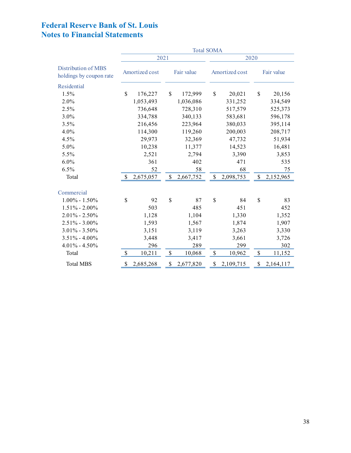|                                                |               | 2021           |            |           |                | 2020      |                           |           |
|------------------------------------------------|---------------|----------------|------------|-----------|----------------|-----------|---------------------------|-----------|
| Distribution of MBS<br>holdings by coupon rate |               | Amortized cost | Fair value |           | Amortized cost |           | Fair value                |           |
| Residential                                    |               |                |            |           |                |           |                           |           |
| 1.5%                                           | \$            | 176,227        | \$         | 172,999   | \$             | 20,021    | \$                        | 20,156    |
| 2.0%                                           |               | 1,053,493      |            | 1,036,086 |                | 331,252   |                           | 334,549   |
| 2.5%                                           |               | 736,648        |            | 728,310   |                | 517,579   |                           | 525,373   |
| 3.0%                                           |               | 334,788        |            | 340,133   |                | 583,681   |                           | 596,178   |
| 3.5%                                           |               | 216,456        |            | 223,964   |                | 380,033   |                           | 395,114   |
| 4.0%                                           |               | 114,300        |            | 119,260   |                | 200,003   |                           | 208,717   |
| 4.5%                                           |               | 29,973         |            | 32,369    |                | 47,732    |                           | 51,934    |
| 5.0%                                           |               | 10,238         |            | 11,377    |                | 14,523    |                           | 16,481    |
| 5.5%                                           |               | 2,521          |            | 2,794     |                | 3,390     |                           | 3,853     |
| $6.0\%$                                        |               | 361            |            | 402       |                | 471       |                           | 535       |
| 6.5%                                           |               | 52             |            | 58        |                | 68        |                           | 75        |
| Total                                          | $\mathcal{S}$ | 2,675,057      | \$         | 2,667,752 | $\mathbb{S}$   | 2,098,753 | \$                        | 2,152,965 |
| Commercial                                     |               |                |            |           |                |           |                           |           |
| $1.00\% - 1.50\%$                              | \$            | 92             | \$         | 87        | \$             | 84        | $\mathbb{S}$              | 83        |
| $1.51\% - 2.00\%$                              |               | 503            |            | 485       |                | 451       |                           | 452       |
| $2.01\% - 2.50\%$                              |               | 1,128          |            | 1,104     |                | 1,330     |                           | 1,352     |
| $2.51\% - 3.00\%$                              |               | 1,593          |            | 1,567     |                | 1,874     |                           | 1,907     |
| $3.01\% - 3.50\%$                              |               | 3,151          |            | 3,119     |                | 3,263     |                           | 3,330     |
| $3.51\% - 4.00\%$                              |               | 3,448          |            | 3,417     |                | 3,661     |                           | 3,726     |
| $4.01\% - 4.50\%$                              |               | 296            |            | 289       |                | 299       |                           | 302       |
| Total                                          | \$            | 10,211         | \$         | 10,068    | \$             | 10,962    | $\boldsymbol{\mathsf{S}}$ | 11,152    |
| <b>Total MBS</b>                               | \$            | 2,685,268      | \$         | 2,677,820 | \$             | 2,109,715 | \$                        | 2,164,117 |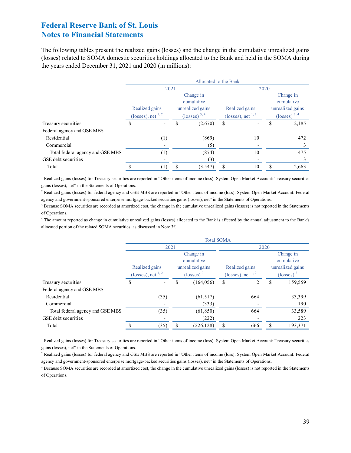### **Federal Reserve Bank of St. Louis Federal Statements**

 the years ended December 31, 2021 and 2020 (in millions): The following tables present the realized gains (losses) and the change in the cumulative unrealized gains (losses) related to SOMA domestic securities holdings allocated to the Bank and held in the SOMA during

|                                  |                                           |                          |                                                                                   | Allocated to the Bank |    |                                           |                                                                                   |       |
|----------------------------------|-------------------------------------------|--------------------------|-----------------------------------------------------------------------------------|-----------------------|----|-------------------------------------------|-----------------------------------------------------------------------------------|-------|
|                                  | 2021                                      |                          |                                                                                   |                       |    |                                           | 2020                                                                              |       |
|                                  | Realized gains<br>(losses), net $^{1, 2}$ |                          | Change in<br>cumulative<br>unrealized gains<br>$\left(\text{losses}\right)^{3,4}$ |                       |    | Realized gains<br>(losses), net $^{1, 2}$ | Change in<br>cumulative<br>unrealized gains<br>$\left(\text{losses}\right)^{3,4}$ |       |
| Treasury securities              | S                                         | $\overline{\phantom{0}}$ | S.                                                                                | (2,670)               | \$ | $\overline{\phantom{a}}$                  | \$                                                                                | 2,185 |
| Federal agency and GSE MBS       |                                           |                          |                                                                                   |                       |    |                                           |                                                                                   |       |
| Residential                      |                                           | (1)                      |                                                                                   | (869)                 |    | 10                                        |                                                                                   | 472   |
| Commercial                       |                                           |                          |                                                                                   | (5)                   |    |                                           |                                                                                   |       |
| Total federal agency and GSE MBS |                                           | (1)                      |                                                                                   | (874)                 |    | 10                                        |                                                                                   | 475   |
| GSE debt securities              |                                           |                          |                                                                                   | (3)                   |    |                                           |                                                                                   |       |
| Total                            |                                           | $\left(1\right)$         |                                                                                   | (3,547)               |    | 10                                        | \$.                                                                               | 2,663 |

<sup>1</sup> Realized gains (losses) for Treasury securities are reported in "Other items of income (loss): System Open Market Account: Treasury securities gains (losses), net" in the Statements of Operations.

<sup>2</sup> Realized gains (losses) for federal agency and GSE MBS are reported in "Other items of income (loss): System Open Market Account: Federal agency and government-sponsored enterprise mortgage-backed securities gains (losses), net" in the Statements of Operations.

<sup>3</sup> Because SOMA securities are recorded at amortized cost, the change in the cumulative unrealized gains (losses) is not reported in the Statements of Operations.

 4 The amount reported as change in cumulative unrealized gains (losses) allocated to the Bank is affected by the annual adjustment to the Bank's allocated portion of the related SOMA securities, as discussed in Note 3f.

|                                  |                                           | <b>Total SOMA</b>        |   |                                                                               |    |                                           |                                                                               |         |  |  |  |  |
|----------------------------------|-------------------------------------------|--------------------------|---|-------------------------------------------------------------------------------|----|-------------------------------------------|-------------------------------------------------------------------------------|---------|--|--|--|--|
|                                  |                                           | 2021                     |   |                                                                               |    |                                           | 2020                                                                          |         |  |  |  |  |
|                                  | Realized gains<br>(losses), net $^{1, 2}$ |                          |   | Change in<br>cumulative<br>unrealized gains<br>$\left(\text{losses}\right)^3$ |    | Realized gains<br>(losses), net $^{1, 2}$ | Change in<br>cumulative<br>unrealized gains<br>$\left(\text{losses}\right)^3$ |         |  |  |  |  |
| Treasury securities              | \$                                        | $\overline{\phantom{0}}$ | S | (164, 056)                                                                    | \$ | 2                                         | <sup>\$</sup>                                                                 | 159,559 |  |  |  |  |
| Federal agency and GSE MBS       |                                           |                          |   |                                                                               |    |                                           |                                                                               |         |  |  |  |  |
| Residential                      |                                           | (35)                     |   | (61,517)                                                                      |    | 664                                       |                                                                               | 33,399  |  |  |  |  |
| Commercial                       |                                           | $\qquad \qquad$          |   | (333)                                                                         |    |                                           |                                                                               | 190     |  |  |  |  |
| Total federal agency and GSE MBS |                                           | (35)                     |   | (61, 850)                                                                     |    | 664                                       |                                                                               | 33,589  |  |  |  |  |
| GSE debt securities              |                                           | $\overline{\phantom{a}}$ |   | (222)                                                                         |    | $\overline{a}$                            |                                                                               | 223     |  |  |  |  |
| Total                            |                                           | (35)                     |   | (226, 128)                                                                    | \$ | 666                                       | \$.                                                                           | 193,371 |  |  |  |  |

<sup>1</sup> Realized gains (losses) for Treasury securities are reported in "Other items of income (loss): System Open Market Account: Treasury securities gains (losses), net" in the Statements of Operations.

<sup>2</sup> Realized gains (losses) for federal agency and GSE MBS are reported in "Other items of income (loss): System Open Market Account: Federal agency and government-sponsored enterprise mortgage-backed securities gains (losses), net" in the Statements of Operations.

<sup>3</sup> Because SOMA securities are recorded at amortized cost, the change in the cumulative unrealized gains (losses) is not reported in the Statements of Operations.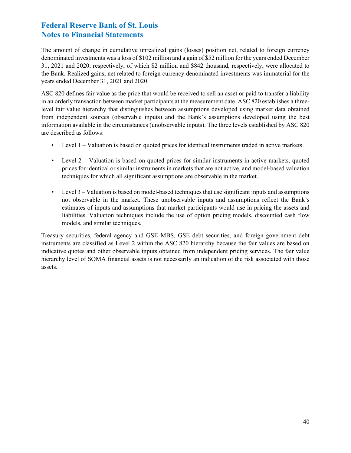### **Federal Reserve Bank of St. Louis Federal Statements**

 denominated investments was a loss of \$102 million and a gain of \$52 million for the years ended December 31, 2021 and 2020, respectively, of which \$2 million and \$842 thousand, respectively, were allocated to years ended December 31, 2021 and 2020. The amount of change in cumulative unrealized gains (losses) position net, related to foreign currency the Bank. Realized gains, net related to foreign currency denominated investments was immaterial for the

ASC 820 defines fair value as the price that would be received to sell an asset or paid to transfer a liability in an orderly transaction between market participants at the measurement date. ASC 820 establishes a threelevel fair value hierarchy that distinguishes between assumptions developed using market data obtained from independent sources (observable inputs) and the Bank's assumptions developed using the best information available in the circumstances (unobservable inputs). The three levels established by ASC 820 are described as follows:

- Level 1 Valuation is based on quoted prices for identical instruments traded in active markets.
- Level  $2 -$  Valuation is based on quoted prices for similar instruments in active markets, quoted prices for identical or similar instruments in markets that are not active, and model-based valuation techniques for which all significant assumptions are observable in the market.
- Level 3 Valuation is based on model-based techniques that use significant inputs and assumptions not observable in the market. These unobservable inputs and assumptions reflect the Bank's estimates of inputs and assumptions that market participants would use in pricing the assets and liabilities. Valuation techniques include the use of option pricing models, discounted cash flow models, and similar techniques.

 indicative quotes and other observable inputs obtained from independent pricing services. The fair value Treasury securities, federal agency and GSE MBS, GSE debt securities, and foreign government debt instruments are classified as Level 2 within the ASC 820 hierarchy because the fair values are based on hierarchy level of SOMA financial assets is not necessarily an indication of the risk associated with those assets.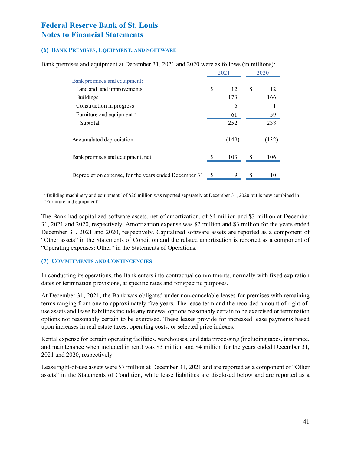#### **(6) BANK PREMISES, EQUIPMENT, AND SOFTWARE**

|                                                       |    | 2021  |    | 2020  |
|-------------------------------------------------------|----|-------|----|-------|
| Bank premises and equipment:                          |    |       |    |       |
| Land and land improvements                            | \$ | 12    | \$ | 12    |
| <b>Buildings</b>                                      |    | 173   |    | 166   |
| Construction in progress                              |    | 6     |    |       |
| Furniture and equipment <sup>1</sup>                  |    | 61    |    | 59    |
| Subtotal                                              |    | 252   |    | 238   |
| Accumulated depreciation                              |    | (149) |    | (132) |
| Bank premises and equipment, net                      |    | 103   | -S | 106   |
| Depreciation expense, for the years ended December 31 | S  | 9     | S  | 10    |

Bank premises and equipment at December 31, 2021 and 2020 were as follows (in millions):

<sup>1</sup> "Building machinery and equipment" of \$26 million was reported separately at December 31, 2020 but is now combined in "Furniture and equipment".

 The Bank had capitalized software assets, net of amortization, of \$4 million and \$3 million at December 31, 2021 and 2020, respectively. Amortization expense was \$2 million and \$3 million for the years ended "Other assets" in the Statements of Condition and the related amortization is reported as a component of December 31, 2021 and 2020, respectively. Capitalized software assets are reported as a component of "Operating expenses: Other" in the Statements of Operations.

#### **(7) COMMITMENTS AND CONTINGENCIES**

 In conducting its operations, the Bank enters into contractual commitments, normally with fixed expiration dates or termination provisions, at specific rates and for specific purposes.

At December 31, 2021, the Bank was obligated under non-cancelable leases for premises with remaining terms ranging from one to approximately five years. The lease term and the recorded amount of right-ofuse assets and lease liabilities include any renewal options reasonably certain to be exercised or termination options not reasonably certain to be exercised. These leases provide for increased lease payments based upon increases in real estate taxes, operating costs, or selected price indexes.

 Rental expense for certain operating facilities, warehouses, and data processing (including taxes, insurance, and maintenance when included in rent) was \$3 million and \$4 million for the years ended December 31, 2021 and 2020, respectively.

 Lease right-of-use assets were \$7 million at December 31, 2021 and are reported as a component of "Other assets" in the Statements of Condition, while lease liabilities are disclosed below and are reported as a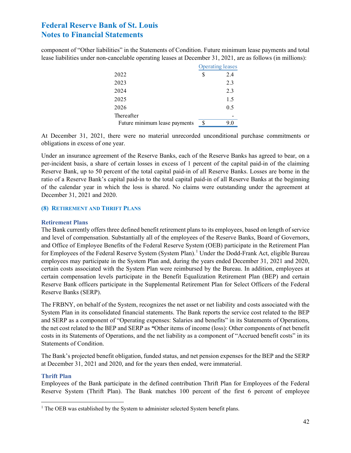**Lease liabilities under non-cancelable operating leases at December 31, 2021, are as follows (in millions):<br>2022 <br>
<sup>2022</sup> <br>
<sup>2022</sup> <br>
<sup>2022</sup>** component of "Other liabilities" in the Statements of Condition. Future minimum lease payments and total

|                               | <b>Operating leases</b> |
|-------------------------------|-------------------------|
| 2022                          | 2.4                     |
| 2023                          | 2.3                     |
| 2024                          | 2.3                     |
| 2025                          | 1.5                     |
| 2026                          | 0.5                     |
| Thereafter                    |                         |
| Future minimum lease payments | 9.0                     |

 At December 31, 2021, there were no material unrecorded unconditional purchase commitments or obligations in excess of one year.

 Reserve Bank, up to 50 percent of the total capital paid-in of all Reserve Banks. Losses are borne in the December 31, 2021 and 2020. Under an insurance agreement of the Reserve Banks, each of the Reserve Banks has agreed to bear, on a per-incident basis, a share of certain losses in excess of 1 percent of the capital paid-in of the claiming ratio of a Reserve Bank's capital paid-in to the total capital paid-in of all Reserve Banks at the beginning of the calendar year in which the loss is shared. No claims were outstanding under the agreement at

#### **(8) RETIREMENT AND THRIFT PLANS**

#### **Retirement Plans**

 The Bank currently offers three defined benefit retirement plans to its employees, based on length of service and level of compensation. Substantially all of the employees of the Reserve Banks, Board of Governors, certain costs associated with the System Plan were reimbursed by the Bureau. In addition, employees at Reserve Bank officers participate in the Supplemental Retirement Plan for Select Officers of the Federal and Office of Employee Benefits of the Federal Reserve System (OEB) participate in the Retirement Plan for Employees of the Federal Reserve System (System Plan).<sup>1</sup> Under the Dodd-Frank Act, eligible Bureau employees may participate in the System Plan and, during the years ended December 31, 2021 and 2020, certain compensation levels participate in the Benefit Equalization Retirement Plan (BEP) and certain Reserve Banks (SERP).

 the net cost related to the BEP and SERP as *"*Other items of income (loss): Other components of net benefit The FRBNY, on behalf of the System, recognizes the net asset or net liability and costs associated with the System Plan in its consolidated financial statements. The Bank reports the service cost related to the BEP and SERP as a component of "Operating expenses: Salaries and benefits" in its Statements of Operations, costs in its Statements of Operations, and the net liability as a component of "Accrued benefit costs" in its Statements of Condition.

The Bank's projected benefit obligation, funded status, and net pension expenses for the BEP and the SERP at December 31, 2021 and 2020, and for the years then ended, were immaterial.

#### **Thrift Plan**

 Employees of the Bank participate in the defined contribution Thrift Plan for Employees of the Federal Reserve System (Thrift Plan). The Bank matches 100 percent of the first 6 percent of employee

 $1$  The OEB was established by the System to administer selected System benefit plans.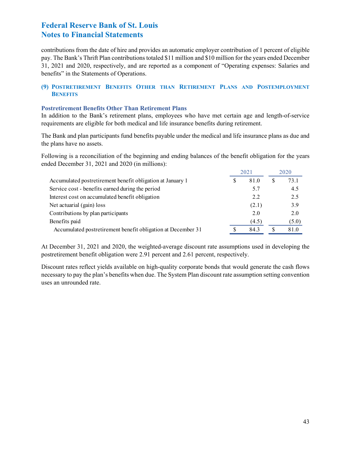contributions from the date of hire and provides an automatic employer contribution of 1 percent of eligible pay. The Bank's Thrift Plan contributions totaled \$11 million and \$10 million for the years ended December 31, 2021 and 2020, respectively, and are reported as a component of "Operating expenses: Salaries and benefits" in the Statements of Operations.

#### **(9) POSTRETIREMENT BENEFITS OTHER THAN RETIREMENT PLANS AND POSTEMPLOYMENT BENEFITS**

#### **Postretirement Benefits Other Than Retirement Plans**

 In addition to the Bank's retirement plans, employees who have met certain age and length-of-service requirements are eligible for both medical and life insurance benefits during retirement.

 The Bank and plan participants fund benefits payable under the medical and life insurance plans as due and the plans have no assets.

 Following is a reconciliation of the beginning and ending balances of the benefit obligation for the years ended December 31, 2021 and 2020 (in millions):

|                                                              |   | 2021  |   | 2020  |
|--------------------------------------------------------------|---|-------|---|-------|
| Accumulated postretirement benefit obligation at January 1   | S | 81.0  | S | 73.1  |
| Service cost - benefits earned during the period             |   | 5.7   |   | 4.5   |
| Interest cost on accumulated benefit obligation              |   | 2.2   |   | 2.5   |
| Net actuarial (gain) loss                                    |   | (2.1) |   | 3.9   |
| Contributions by plan participants                           |   | 2.0   |   | 2.0   |
| Benefits paid                                                |   | (4.5) |   | (5.0) |
| Accumulated postretirement benefit obligation at December 31 | S | 84.3  | S | 81.0  |

 postretirement benefit obligation were 2.91 percent and 2.61 percent, respectively. At December 31, 2021 and 2020, the weighted-average discount rate assumptions used in developing the

 Discount rates reflect yields available on high-quality corporate bonds that would generate the cash flows necessary to pay the plan's benefits when due. The System Plan discount rate assumption setting convention uses an unrounded rate.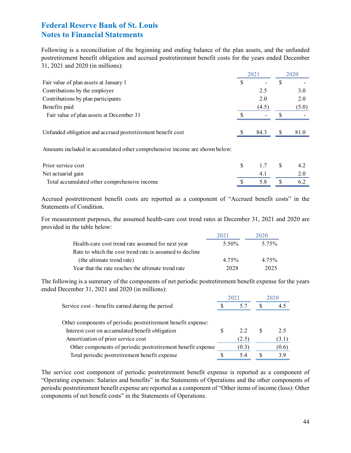Following is a reconciliation of the beginning and ending balance of the plan assets, and the unfunded postretirement benefit obligation and accrued postretirement benefit costs for the years ended December 31, 2021 and 2020 (in millions):

|                                                             | 202                      |  | 2020  |  |
|-------------------------------------------------------------|--------------------------|--|-------|--|
| Fair value of plan assets at January 1                      |                          |  |       |  |
| Contributions by the employer                               | 2.5                      |  | 3.0   |  |
| Contributions by plan participants                          | 2.0                      |  | 2.0   |  |
| Benefits paid                                               | (4.5)                    |  | (5.0) |  |
| Fair value of plan assets at December 31                    | $\overline{\phantom{a}}$ |  |       |  |
| Unfunded obligation and accrued postretirement benefit cost | 84.3                     |  | 81.0  |  |

Amounts included in accumulated other comprehensive income are shown below:

| Prior service cost                           | 17  | $\mathcal{S}$ | 4.2 |
|----------------------------------------------|-----|---------------|-----|
| Net actuarial gain                           |     |               |     |
| Total accumulated other comprehensive income | 5.8 |               | 6.2 |

 Accrued postretirement benefit costs are reported as a component of "Accrued benefit costs" in the Statements of Condition.

 For measurement purposes, the assumed health-care cost trend rates at December 31, 2021 and 2020 are provided in the table below:

|                                                         | 2021  | 2020  |
|---------------------------------------------------------|-------|-------|
| Health-care cost trend rate assumed for next year       | 5.50% | 5.75% |
| Rate to which the cost trend rate is assumed to decline |       |       |
| (the ultimate trend rate)                               | 4.75% | 4 75% |
| Year that the rate reaches the ultimate trend rate      | 2028  | 2025  |

 ended December 31, 2021 and 2020 (in millions): The following is a summary of the components of net periodic postretirement benefit expense for the years

|                                                              | 2021 |       | 2020 |       |  |
|--------------------------------------------------------------|------|-------|------|-------|--|
| Service cost - benefits earned during the period             |      | 5.7   |      | 4.5   |  |
| Other components of periodic postretirement benefit expense: |      |       |      |       |  |
| Interest cost on accumulated benefit obligation              | S    | 2.2   | -S   | 2.5   |  |
| Amortization of prior service cost                           |      | (2.5) |      | (3.1) |  |
| Other components of periodic postretirement benefit expense  |      | (0.3) |      | (0.6) |  |
| Total periodic postretirement benefit expense                |      | 5.4   |      | 3.9   |  |

The service cost component of periodic postretirement benefit expense is reported as a component of "Operating expenses: Salaries and benefits" in the Statements of Operations and the other components of periodic postretirement benefit expense are reported as a component of "Other items of income (loss): Other components of net benefit costs" in the Statements of Operations.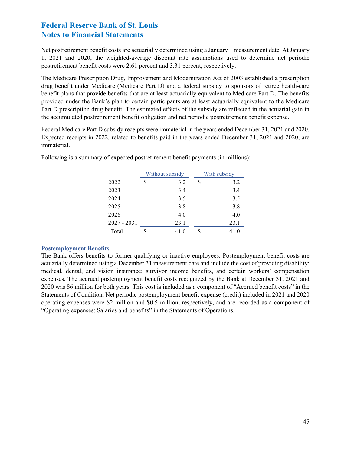1, 2021 and 2020, the weighted-average discount rate assumptions used to determine net periodic postretirement benefit costs were 2.61 percent and 3.31 percent, respectively. Net postretirement benefit costs are actuarially determined using a January 1 measurement date. At January

 drug benefit under Medicare (Medicare Part D) and a federal subsidy to sponsors of retiree health-care provided under the Bank's plan to certain participants are at least actuarially equivalent to the Medicare The Medicare Prescription Drug, Improvement and Modernization Act of 2003 established a prescription benefit plans that provide benefits that are at least actuarially equivalent to Medicare Part D. The benefits Part D prescription drug benefit. The estimated effects of the subsidy are reflected in the actuarial gain in the accumulated postretirement benefit obligation and net periodic postretirement benefit expense.

 Federal Medicare Part D subsidy receipts were immaterial in the years ended December 31, 2021 and 2020. Expected receipts in 2022, related to benefits paid in the years ended December 31, 2021 and 2020, are immaterial.

|             | Without subsidy | With subsidy |      |  |
|-------------|-----------------|--------------|------|--|
| 2022        | \$<br>3.2       | \$           | 3.2  |  |
| 2023        | 3.4             |              | 3.4  |  |
| 2024        | 3.5             |              | 3.5  |  |
| 2025        | 3.8             |              | 3.8  |  |
| 2026        | 4.0             |              | 4.0  |  |
| 2027 - 2031 | 23.1            |              | 23.1 |  |
| Total       | \$<br>41.0      | \$           | 41.0 |  |

Following is a summary of expected postretirement benefit payments (in millions):<br>Without subsidy With subsidy

#### **Postemployment Benefits**

 actuarially determined using a December 31 measurement date and include the cost of providing disability; expenses. The accrued postemployment benefit costs recognized by the Bank at December 31, 2021 and 2020 was \$6 million for both years. This cost is included as a component of "Accrued benefit costs" in the Statements of Condition. Net periodic postemployment benefit expense (credit) included in 2021 and 2020 The Bank offers benefits to former qualifying or inactive employees. Postemployment benefit costs are medical, dental, and vision insurance; survivor income benefits, and certain workers' compensation operating expenses were \$2 million and \$0.5 million, respectively, and are recorded as a component of "Operating expenses: Salaries and benefits" in the Statements of Operations.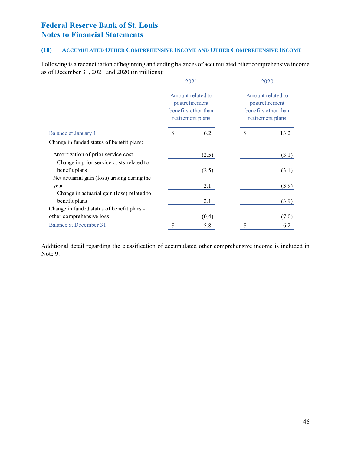#### **(10) ACCUMULATED OTHER COMPREHENSIVE INCOME AND OTHER COMPREHENSIVE INCOME**

 Following is a reconciliation of beginning and ending balances of accumulated other comprehensive income as of December 31, 2021 and 2020 (in millions):

|                                                                                | 2021 |                                                                                |                                                                                | 2020  |  |  |  |  |
|--------------------------------------------------------------------------------|------|--------------------------------------------------------------------------------|--------------------------------------------------------------------------------|-------|--|--|--|--|
|                                                                                |      | Amount related to<br>postretirement<br>benefits other than<br>retirement plans | Amount related to<br>postretirement<br>benefits other than<br>retirement plans |       |  |  |  |  |
| <b>Balance at January 1</b>                                                    | \$   | 6.2                                                                            | \$                                                                             | 13.2  |  |  |  |  |
| Change in funded status of benefit plans:                                      |      |                                                                                |                                                                                |       |  |  |  |  |
| Amortization of prior service cost<br>Change in prior service costs related to |      | (2.5)                                                                          |                                                                                | (3.1) |  |  |  |  |
| benefit plans                                                                  |      | (2.5)                                                                          |                                                                                | (3.1) |  |  |  |  |
| Net actuarial gain (loss) arising during the<br>year                           |      | 2.1                                                                            |                                                                                | (3.9) |  |  |  |  |
| Change in actuarial gain (loss) related to<br>benefit plans                    |      | 2.1                                                                            |                                                                                | (3.9) |  |  |  |  |
| Change in funded status of benefit plans -                                     |      |                                                                                |                                                                                |       |  |  |  |  |
| other comprehensive loss                                                       |      | (0.4)                                                                          |                                                                                | (7.0) |  |  |  |  |
| Balance at December 31                                                         | \$   | 5.8                                                                            | \$                                                                             | 6.2   |  |  |  |  |

 Note 9. Additional detail regarding the classification of accumulated other comprehensive income is included in